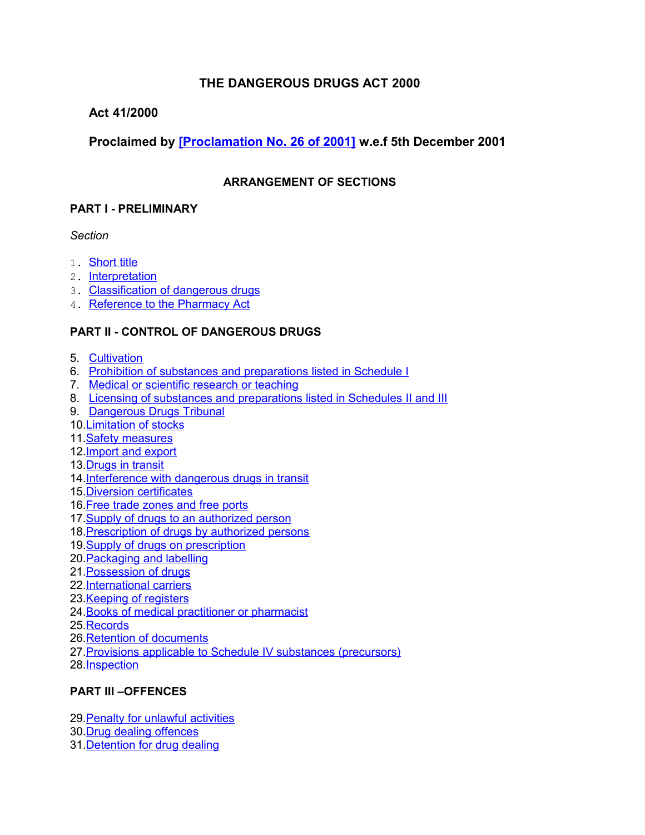## **THE DANGEROUS DRUGS ACT 2000**

## **Act 41/2000**

## **Proclaimed by [\[Proclamation No. 26 of 2001\]](http://www1.gov.mu/scourt/doc/showDoc.do?dk=Proclamation%20No.%2026%20of%202001&dt=A) w.e.f 5th December 2001**

## **ARRANGEMENT OF SECTIONS**

## **PART I - PRELIMINARY**

## *Section*

- 1. [Short title](#page-2-1)
- 2. [Interpretation](#page-2-0)
- 3. [Classification of dangerous drugs](#page-5-0)
- 4. [Reference to the Pharmacy Act](#page-6-3)

## **PART II - CONTROL OF DANGEROUS DRUGS**

- 5. [Cultivation](#page-6-2)
- 6. [Prohibition of substances and preparations listed in Schedule I](#page-6-1)
- 7. [Medical or scientific research or teaching](#page-6-0)
- 8. [Licensing of substances and preparations listed in Schedules II and III](#page-7-0)
- 9. [Dangerous Drugs Tribunal](#page-8-0)
- 10[.Limitation of stocks](#page-9-1)
- 11. Safety measures
- 12[.Import and export](#page-10-0)
- 13[.Drugs in transit](#page-11-0)
- 14[.Interference with dangerous drugs in transit](#page-12-3)
- 15[.Diversion certificates](#page-12-2)
- 16[.Free trade zones and free ports](#page-12-1)
- 17. Supply of drugs to an authorized person
- 18[.Prescription of drugs by authorized persons](#page-13-0)
- 19[.Supply of drugs on prescription](#page-14-0)
- 20[.Packaging and labelling](#page-15-1)
- 21[.Possession of drugs](#page-15-0)
- 22[.International carriers](#page-16-1)
- 23[.Keeping of registers](#page-16-0)
- 24[.Books of medical practitioner or pharmacist](#page-17-0)
- 25[.Records](#page-18-1)
- 26[.Retention of documents](#page-18-0)
- 27[.Provisions applicable to Schedule IV substances \(precursors\)](#page-19-2)
- 28[.Inspection](#page-19-1)

## **PART III –OFFENCES**

29. Penalty for unlawful activities

- 30[.Drug dealing offences](#page-20-0)
- 31[.Detention for drug dealing](#page-21-0)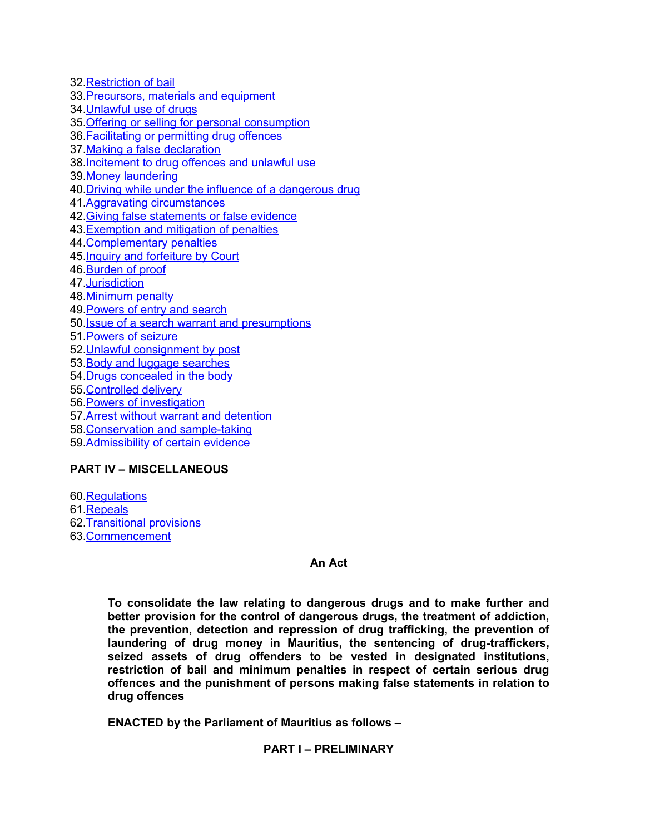[.Restriction of bail](#page-22-2) [.Precursors, materials and equipment](#page-22-1) [.Unlawful use of drugs](#page-22-0) [.Offering or selling for personal consumption](#page-24-1) [.Facilitating or permitting drug offences](#page-24-0) [.Making a false declaration](#page-25-1) [.Incitement to drug offences and unlawful use](#page-25-0) [.Money laundering](#page-26-1) [.Driving while under the influence of a dangerous drug](#page-26-0) [.Aggravating circumstances](#page-27-0) [.Giving false statements or false evidence](#page-28-0) [.Exemption and mitigation of penalties](#page-29-1) [.Complementary penalties](#page-29-0) [.Inquiry and forfeiture by Court](#page-30-2) [.Burden of proof](#page-30-1) [.Jurisdiction](#page-30-0) [.Minimum penalty](#page-31-2) [.Powers of entry and search](#page-31-1) [.Issue of a search warrant and presumptions](#page-31-0) [.Powers of seizure](#page-32-0) [.Unlawful consignment by post](#page-33-2) [.Body and luggage searches](#page-33-1) [.Drugs concealed in the body](#page-33-0) [.Controlled delivery](#page-34-2) [.Powers of investigation](#page-34-1) [.Arrest without warrant and detention](#page-34-0) [.Conservation and sample-taking](#page-35-0) [.Admissibility of certain evidence](#page-36-2)

### **PART IV – MISCELLANEOUS**

[.Regulations](#page-36-1) [.Repeals](#page-36-0) [.Transitional provisions](#page-37-1) [.Commencement](#page-37-0)

#### **An Act**

**To consolidate the law relating to dangerous drugs and to make further and better provision for the control of dangerous drugs, the treatment of addiction, the prevention, detection and repression of drug trafficking, the prevention of laundering of drug money in Mauritius, the sentencing of drug-traffickers, seized assets of drug offenders to be vested in designated institutions, restriction of bail and minimum penalties in respect of certain serious drug offences and the punishment of persons making false statements in relation to drug offences**

**ENACTED by the Parliament of Mauritius as follows –**

### **PART I – PRELIMINARY**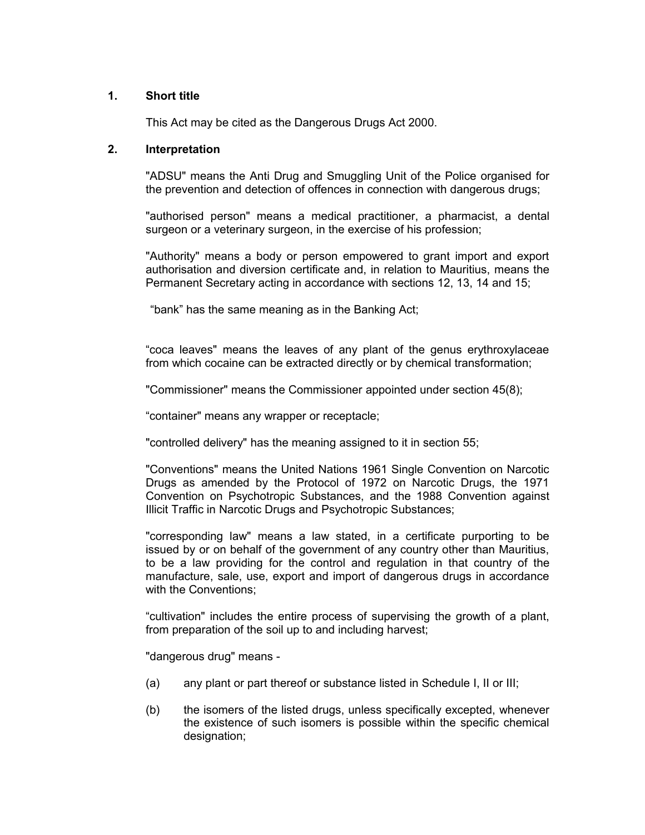#### **1. Short title**

<span id="page-2-1"></span><span id="page-2-0"></span>This Act may be cited as the Dangerous Drugs Act 2000.

### **2. Interpretation**

"ADSU" means the Anti Drug and Smuggling Unit of the Police organised for the prevention and detection of offences in connection with dangerous drugs;

"authorised person" means a medical practitioner, a pharmacist, a dental surgeon or a veterinary surgeon, in the exercise of his profession;

"Authority" means a body or person empowered to grant import and export authorisation and diversion certificate and, in relation to Mauritius, means the Permanent Secretary acting in accordance with sections 12, 13, 14 and 15;

"bank" has the same meaning as in the Banking Act;

"coca leaves" means the leaves of any plant of the genus erythroxylaceae from which cocaine can be extracted directly or by chemical transformation;

"Commissioner" means the Commissioner appointed under section 45(8);

"container" means any wrapper or receptacle;

"controlled delivery" has the meaning assigned to it in section 55;

"Conventions" means the United Nations 1961 Single Convention on Narcotic Drugs as amended by the Protocol of 1972 on Narcotic Drugs, the 1971 Convention on Psychotropic Substances, and the 1988 Convention against Illicit Traffic in Narcotic Drugs and Psychotropic Substances;

"corresponding law" means a law stated, in a certificate purporting to be issued by or on behalf of the government of any country other than Mauritius, to be a law providing for the control and regulation in that country of the manufacture, sale, use, export and import of dangerous drugs in accordance with the Conventions;

"cultivation" includes the entire process of supervising the growth of a plant, from preparation of the soil up to and including harvest;

"dangerous drug" means -

- (a) any plant or part thereof or substance listed in Schedule I, II or III;
- (b) the isomers of the listed drugs, unless specifically excepted, whenever the existence of such isomers is possible within the specific chemical designation;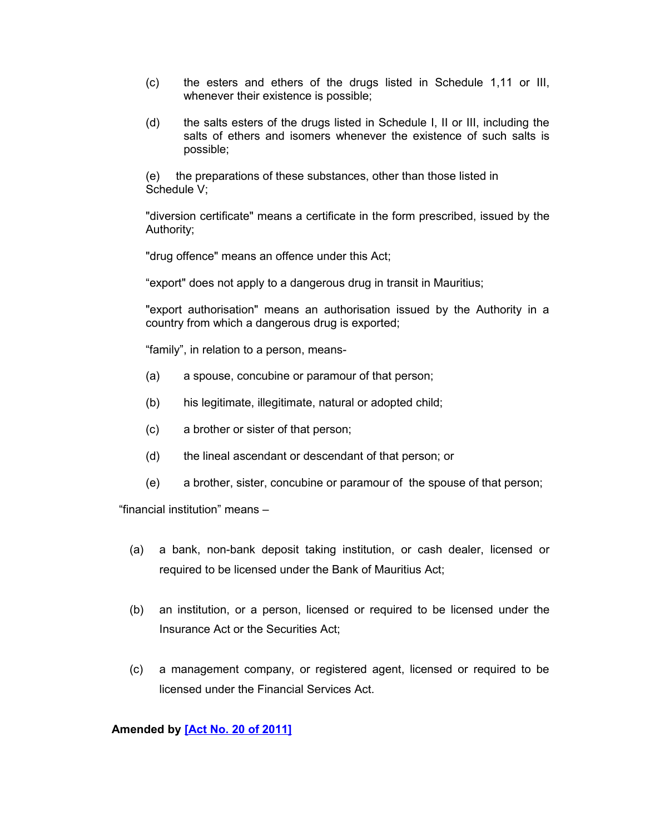- (c) the esters and ethers of the drugs listed in Schedule 1,11 or III, whenever their existence is possible;
- (d) the salts esters of the drugs listed in Schedule I, II or III, including the salts of ethers and isomers whenever the existence of such salts is possible;

(e) the preparations of these substances, other than those listed in Schedule V;

"diversion certificate" means a certificate in the form prescribed, issued by the Authority;

"drug offence" means an offence under this Act;

"export" does not apply to a dangerous drug in transit in Mauritius;

"export authorisation" means an authorisation issued by the Authority in a country from which a dangerous drug is exported;

"family", in relation to a person, means-

- (a) a spouse, concubine or paramour of that person;
- (b) his legitimate, illegitimate, natural or adopted child;
- (c) a brother or sister of that person;
- (d) the lineal ascendant or descendant of that person; or
- (e) a brother, sister, concubine or paramour of the spouse of that person;

"financial institution" means –

- (a) a bank, non-bank deposit taking institution, or cash dealer, licensed or required to be licensed under the Bank of Mauritius Act;
- (b) an institution, or a person, licensed or required to be licensed under the Insurance Act or the Securities Act;
- (c) a management company, or registered agent, licensed or required to be licensed under the Financial Services Act.

### **Amended by [\[Act No. 20 of 2011\]](http://www1.gov.mu/scourt/doc/showDoc.do?dk=Act%20No.%2020%20of%202011&dt=A)**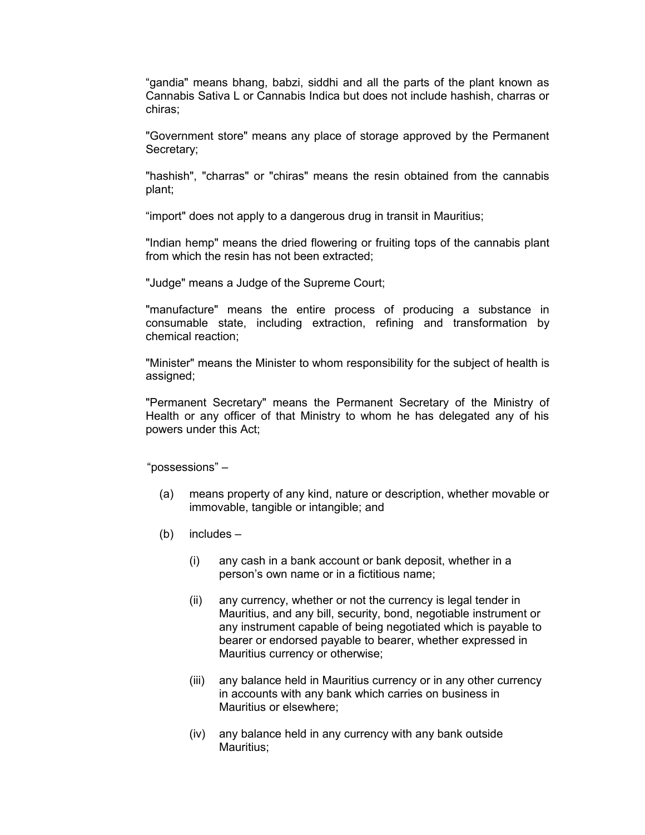"gandia" means bhang, babzi, siddhi and all the parts of the plant known as Cannabis Sativa L or Cannabis Indica but does not include hashish, charras or chiras;

"Government store" means any place of storage approved by the Permanent Secretary;

"hashish", "charras" or "chiras" means the resin obtained from the cannabis plant;

"import" does not apply to a dangerous drug in transit in Mauritius;

"Indian hemp" means the dried flowering or fruiting tops of the cannabis plant from which the resin has not been extracted;

"Judge" means a Judge of the Supreme Court;

"manufacture" means the entire process of producing a substance in consumable state, including extraction, refining and transformation by chemical reaction;

"Minister" means the Minister to whom responsibility for the subject of health is assigned;

"Permanent Secretary" means the Permanent Secretary of the Ministry of Health or any officer of that Ministry to whom he has delegated any of his powers under this Act;

"possessions" –

- (a) means property of any kind, nature or description, whether movable or immovable, tangible or intangible; and
- (b) includes
	- (i) any cash in a bank account or bank deposit, whether in a person's own name or in a fictitious name;
	- (ii) any currency, whether or not the currency is legal tender in Mauritius, and any bill, security, bond, negotiable instrument or any instrument capable of being negotiated which is payable to bearer or endorsed payable to bearer, whether expressed in Mauritius currency or otherwise;
	- (iii) any balance held in Mauritius currency or in any other currency in accounts with any bank which carries on business in Mauritius or elsewhere;
	- (iv) any balance held in any currency with any bank outside Mauritius;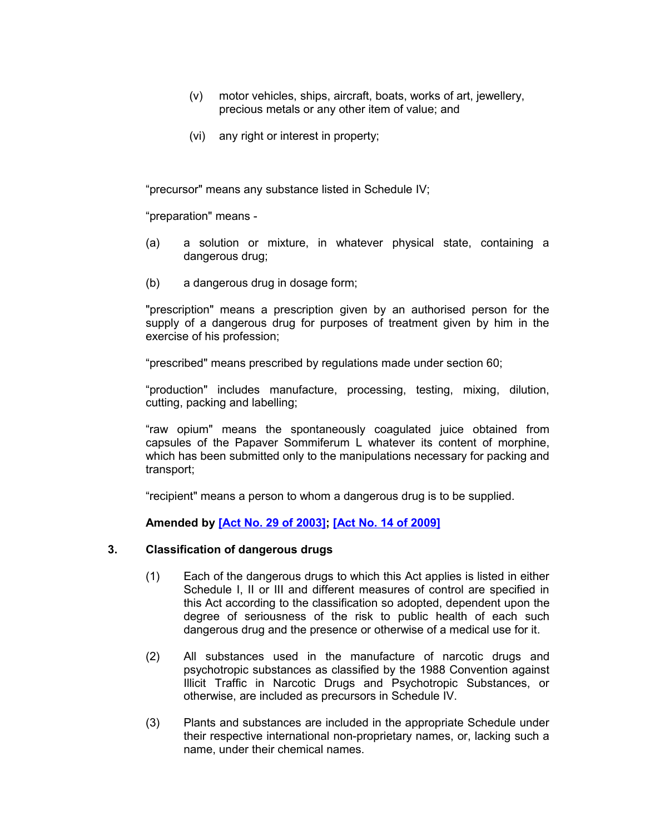- (v) motor vehicles, ships, aircraft, boats, works of art, jewellery, precious metals or any other item of value; and
- (vi) any right or interest in property;

"precursor" means any substance listed in Schedule IV;

"preparation" means -

- (a) a solution or mixture, in whatever physical state, containing a dangerous drug;
- (b) a dangerous drug in dosage form;

"prescription" means a prescription given by an authorised person for the supply of a dangerous drug for purposes of treatment given by him in the exercise of his profession;

"prescribed" means prescribed by regulations made under section 60;

"production" includes manufacture, processing, testing, mixing, dilution, cutting, packing and labelling;

"raw opium" means the spontaneously coagulated juice obtained from capsules of the Papaver Sommiferum L whatever its content of morphine, which has been submitted only to the manipulations necessary for packing and transport;

"recipient" means a person to whom a dangerous drug is to be supplied.

#### <span id="page-5-0"></span>**Amended by [\[Act No. 29 of 2003\];](http://www1.gov.mu/scourt/doc/showDoc.do?dk=Act%20No.%2029%20of%202003&dt=A) [\[Act No. 14 of 2009\]](http://www1.gov.mu/scourt/doc/showDoc.do?dk=Act%20No.%2014%20of%202009&dt=A)**

#### **3. Classification of dangerous drugs**

- (1) Each of the dangerous drugs to which this Act applies is listed in either Schedule I, II or III and different measures of control are specified in this Act according to the classification so adopted, dependent upon the degree of seriousness of the risk to public health of each such dangerous drug and the presence or otherwise of a medical use for it.
- (2) All substances used in the manufacture of narcotic drugs and psychotropic substances as classified by the 1988 Convention against Illicit Traffic in Narcotic Drugs and Psychotropic Substances, or otherwise, are included as precursors in Schedule IV.
- (3) Plants and substances are included in the appropriate Schedule under their respective international non-proprietary names, or, lacking such a name, under their chemical names.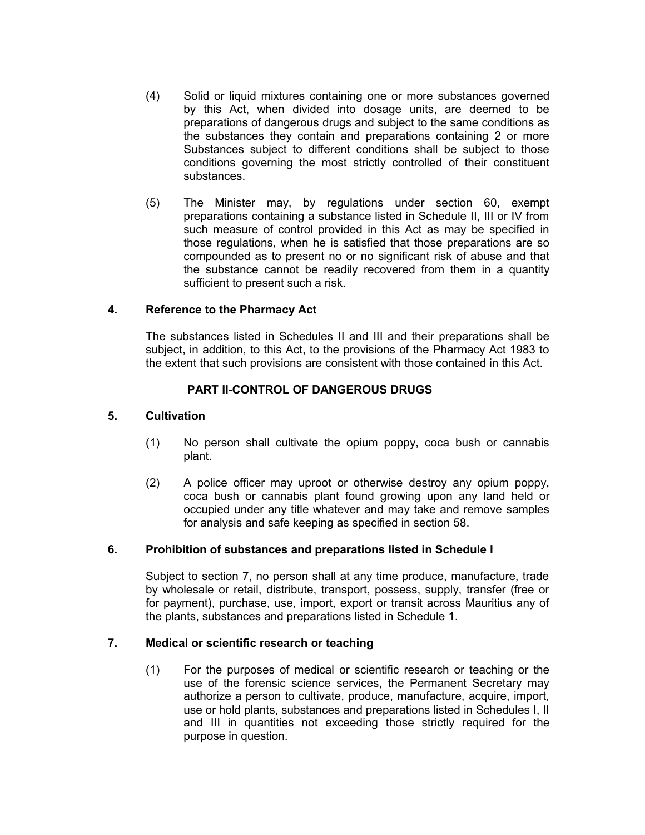- (4) Solid or liquid mixtures containing one or more substances governed by this Act, when divided into dosage units, are deemed to be preparations of dangerous drugs and subject to the same conditions as the substances they contain and preparations containing 2 or more Substances subject to different conditions shall be subject to those conditions governing the most strictly controlled of their constituent substances.
- (5) The Minister may, by regulations under section 60, exempt preparations containing a substance listed in Schedule II, III or IV from such measure of control provided in this Act as may be specified in those regulations, when he is satisfied that those preparations are so compounded as to present no or no significant risk of abuse and that the substance cannot be readily recovered from them in a quantity sufficient to present such a risk.

### **4. Reference to the Pharmacy Act**

<span id="page-6-3"></span>The substances listed in Schedules II and III and their preparations shall be subject, in addition, to this Act, to the provisions of the Pharmacy Act 1983 to the extent that such provisions are consistent with those contained in this Act.

### **PART II-CONTROL OF DANGEROUS DRUGS**

#### **5. Cultivation**

- <span id="page-6-2"></span>(1) No person shall cultivate the opium poppy, coca bush or cannabis plant.
- (2) A police officer may uproot or otherwise destroy any opium poppy, coca bush or cannabis plant found growing upon any land held or occupied under any title whatever and may take and remove samples for analysis and safe keeping as specified in section 58.

#### **6. Prohibition of substances and preparations listed in Schedule I**

<span id="page-6-1"></span>Subject to section 7, no person shall at any time produce, manufacture, trade by wholesale or retail, distribute, transport, possess, supply, transfer (free or for payment), purchase, use, import, export or transit across Mauritius any of the plants, substances and preparations listed in Schedule 1.

#### **7. Medical or scientific research or teaching**

<span id="page-6-0"></span>(1) For the purposes of medical or scientific research or teaching or the use of the forensic science services, the Permanent Secretary may authorize a person to cultivate, produce, manufacture, acquire, import, use or hold plants, substances and preparations listed in Schedules I, II and III in quantities not exceeding those strictly required for the purpose in question.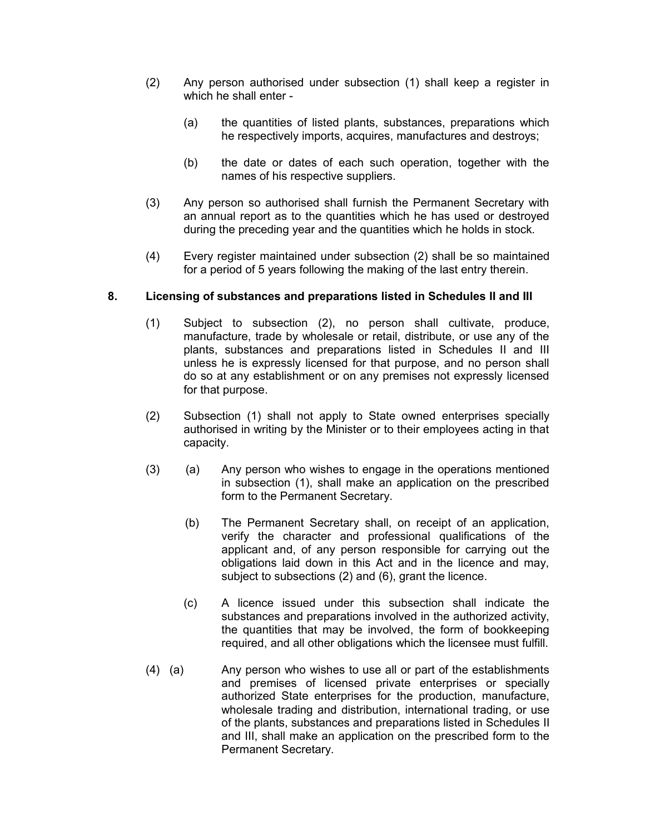- (2) Any person authorised under subsection (1) shall keep a register in which he shall enter -
	- (a) the quantities of listed plants, substances, preparations which he respectively imports, acquires, manufactures and destroys;
	- (b) the date or dates of each such operation, together with the names of his respective suppliers.
- (3) Any person so authorised shall furnish the Permanent Secretary with an annual report as to the quantities which he has used or destroyed during the preceding year and the quantities which he holds in stock.
- (4) Every register maintained under subsection (2) shall be so maintained for a period of 5 years following the making of the last entry therein.

### **8. Licensing of substances and preparations listed in Schedules II and III**

- <span id="page-7-0"></span>(1) Subject to subsection (2), no person shall cultivate, produce, manufacture, trade by wholesale or retail, distribute, or use any of the plants, substances and preparations listed in Schedules II and III unless he is expressly licensed for that purpose, and no person shall do so at any establishment or on any premises not expressly licensed for that purpose.
- (2) Subsection (1) shall not apply to State owned enterprises specially authorised in writing by the Minister or to their employees acting in that capacity.
- (3) (a) Any person who wishes to engage in the operations mentioned in subsection (1), shall make an application on the prescribed form to the Permanent Secretary.
	- (b) The Permanent Secretary shall, on receipt of an application, verify the character and professional qualifications of the applicant and, of any person responsible for carrying out the obligations laid down in this Act and in the licence and may, subject to subsections (2) and (6), grant the licence.
	- (c) A licence issued under this subsection shall indicate the substances and preparations involved in the authorized activity, the quantities that may be involved, the form of bookkeeping required, and all other obligations which the licensee must fulfill.
- (4) (a) Any person who wishes to use all or part of the establishments and premises of licensed private enterprises or specially authorized State enterprises for the production, manufacture, wholesale trading and distribution, international trading, or use of the plants, substances and preparations listed in Schedules II and III, shall make an application on the prescribed form to the Permanent Secretary.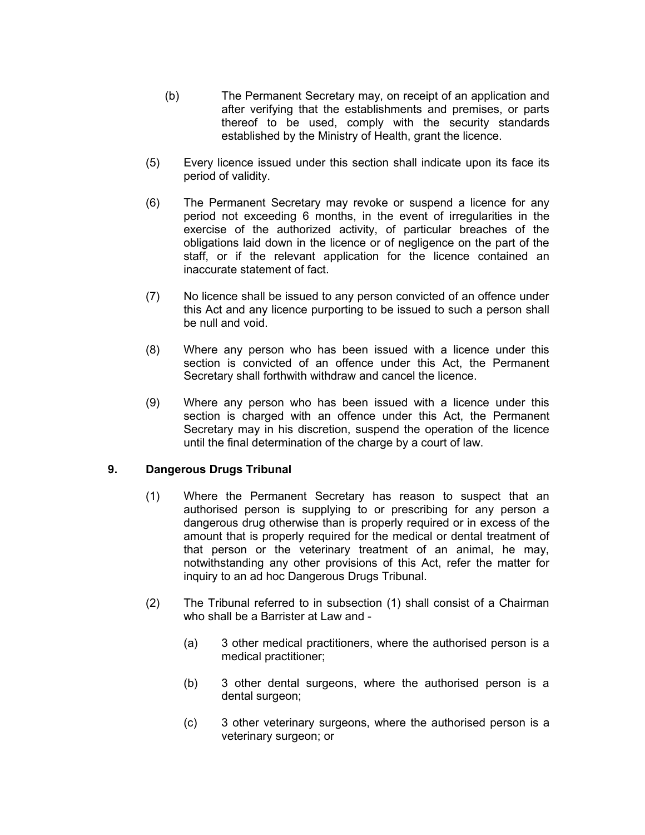- (b) The Permanent Secretary may, on receipt of an application and after verifying that the establishments and premises, or parts thereof to be used, comply with the security standards established by the Ministry of Health, grant the licence.
- (5) Every licence issued under this section shall indicate upon its face its period of validity.
- (6) The Permanent Secretary may revoke or suspend a licence for any period not exceeding 6 months, in the event of irregularities in the exercise of the authorized activity, of particular breaches of the obligations laid down in the licence or of negligence on the part of the staff, or if the relevant application for the licence contained an inaccurate statement of fact.
- (7) No licence shall be issued to any person convicted of an offence under this Act and any licence purporting to be issued to such a person shall be null and void.
- (8) Where any person who has been issued with a licence under this section is convicted of an offence under this Act, the Permanent Secretary shall forthwith withdraw and cancel the licence.
- (9) Where any person who has been issued with a licence under this section is charged with an offence under this Act, the Permanent Secretary may in his discretion, suspend the operation of the licence until the final determination of the charge by a court of law.

### **9. Dangerous Drugs Tribunal**

- <span id="page-8-0"></span>(1) Where the Permanent Secretary has reason to suspect that an authorised person is supplying to or prescribing for any person a dangerous drug otherwise than is properly required or in excess of the amount that is properly required for the medical or dental treatment of that person or the veterinary treatment of an animal, he may, notwithstanding any other provisions of this Act, refer the matter for inquiry to an ad hoc Dangerous Drugs Tribunal.
- (2) The Tribunal referred to in subsection (1) shall consist of a Chairman who shall be a Barrister at Law and -
	- (a) 3 other medical practitioners, where the authorised person is a medical practitioner;
	- (b) 3 other dental surgeons, where the authorised person is a dental surgeon;
	- (c) 3 other veterinary surgeons, where the authorised person is a veterinary surgeon; or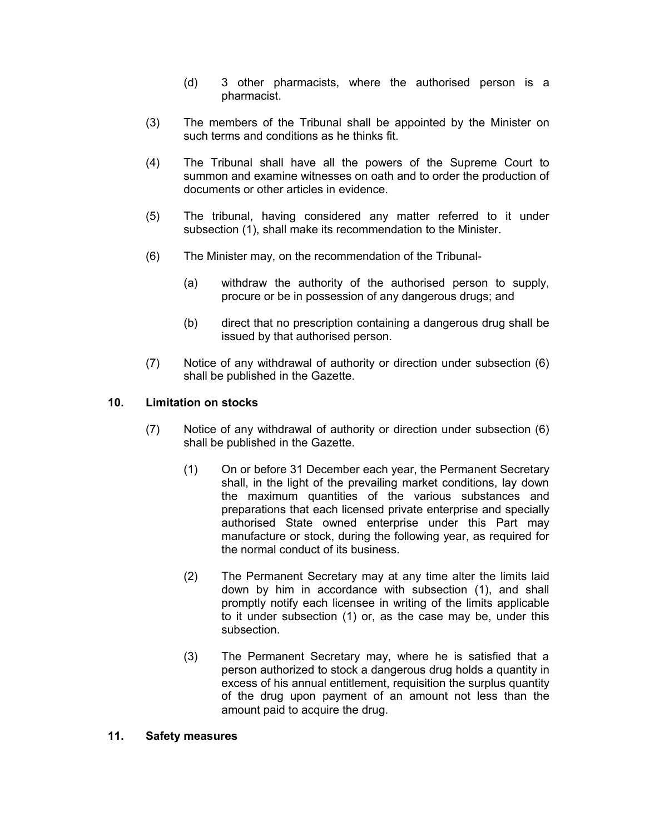- (d) 3 other pharmacists, where the authorised person is a pharmacist.
- (3) The members of the Tribunal shall be appointed by the Minister on such terms and conditions as he thinks fit.
- (4) The Tribunal shall have all the powers of the Supreme Court to summon and examine witnesses on oath and to order the production of documents or other articles in evidence.
- (5) The tribunal, having considered any matter referred to it under subsection (1), shall make its recommendation to the Minister.
- (6) The Minister may, on the recommendation of the Tribunal-
	- (a) withdraw the authority of the authorised person to supply, procure or be in possession of any dangerous drugs; and
	- (b) direct that no prescription containing a dangerous drug shall be issued by that authorised person.
- (7) Notice of any withdrawal of authority or direction under subsection (6) shall be published in the Gazette.

### **10. Limitation on stocks**

- <span id="page-9-1"></span>(7) Notice of any withdrawal of authority or direction under subsection (6) shall be published in the Gazette.
	- (1) On or before 31 December each year, the Permanent Secretary shall, in the light of the prevailing market conditions, lay down the maximum quantities of the various substances and preparations that each licensed private enterprise and specially authorised State owned enterprise under this Part may manufacture or stock, during the following year, as required for the normal conduct of its business.
	- (2) The Permanent Secretary may at any time alter the limits laid down by him in accordance with subsection (1), and shall promptly notify each licensee in writing of the limits applicable to it under subsection (1) or, as the case may be, under this subsection.
	- (3) The Permanent Secretary may, where he is satisfied that a person authorized to stock a dangerous drug holds a quantity in excess of his annual entitlement, requisition the surplus quantity of the drug upon payment of an amount not less than the amount paid to acquire the drug.

#### <span id="page-9-0"></span>**11. Safety measures**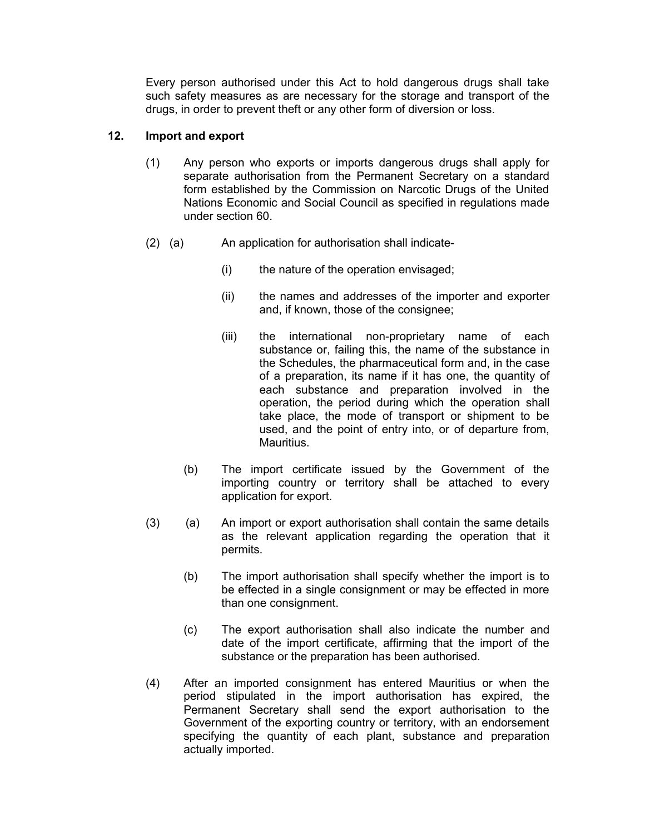Every person authorised under this Act to hold dangerous drugs shall take such safety measures as are necessary for the storage and transport of the drugs, in order to prevent theft or any other form of diversion or loss.

### **12. Import and export**

- <span id="page-10-0"></span>(1) Any person who exports or imports dangerous drugs shall apply for separate authorisation from the Permanent Secretary on a standard form established by the Commission on Narcotic Drugs of the United Nations Economic and Social Council as specified in regulations made under section 60.
- (2) (a) An application for authorisation shall indicate-
	- (i) the nature of the operation envisaged;
	- (ii) the names and addresses of the importer and exporter and, if known, those of the consignee;
	- (iii) the international non-proprietary name of each substance or, failing this, the name of the substance in the Schedules, the pharmaceutical form and, in the case of a preparation, its name if it has one, the quantity of each substance and preparation involved in the operation, the period during which the operation shall take place, the mode of transport or shipment to be used, and the point of entry into, or of departure from, Mauritius.
	- (b) The import certificate issued by the Government of the importing country or territory shall be attached to every application for export.
- (3) (a) An import or export authorisation shall contain the same details as the relevant application regarding the operation that it permits.
	- (b) The import authorisation shall specify whether the import is to be effected in a single consignment or may be effected in more than one consignment.
	- (c) The export authorisation shall also indicate the number and date of the import certificate, affirming that the import of the substance or the preparation has been authorised.
- (4) After an imported consignment has entered Mauritius or when the period stipulated in the import authorisation has expired, the Permanent Secretary shall send the export authorisation to the Government of the exporting country or territory, with an endorsement specifying the quantity of each plant, substance and preparation actually imported.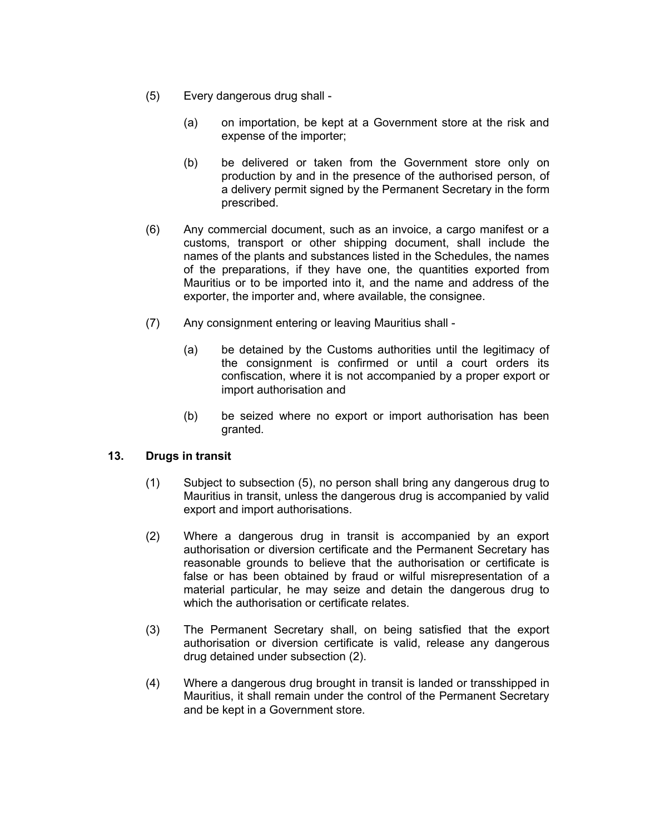- (5) Every dangerous drug shall
	- (a) on importation, be kept at a Government store at the risk and expense of the importer;
	- (b) be delivered or taken from the Government store only on production by and in the presence of the authorised person, of a delivery permit signed by the Permanent Secretary in the form prescribed.
- (6) Any commercial document, such as an invoice, a cargo manifest or a customs, transport or other shipping document, shall include the names of the plants and substances listed in the Schedules, the names of the preparations, if they have one, the quantities exported from Mauritius or to be imported into it, and the name and address of the exporter, the importer and, where available, the consignee.
- (7) Any consignment entering or leaving Mauritius shall
	- (a) be detained by the Customs authorities until the legitimacy of the consignment is confirmed or until a court orders its confiscation, where it is not accompanied by a proper export or import authorisation and
	- (b) be seized where no export or import authorisation has been granted.

### **13. Drugs in transit**

- <span id="page-11-0"></span>(1) Subject to subsection (5), no person shall bring any dangerous drug to Mauritius in transit, unless the dangerous drug is accompanied by valid export and import authorisations.
- (2) Where a dangerous drug in transit is accompanied by an export authorisation or diversion certificate and the Permanent Secretary has reasonable grounds to believe that the authorisation or certificate is false or has been obtained by fraud or wilful misrepresentation of a material particular, he may seize and detain the dangerous drug to which the authorisation or certificate relates.
- (3) The Permanent Secretary shall, on being satisfied that the export authorisation or diversion certificate is valid, release any dangerous drug detained under subsection (2).
- (4) Where a dangerous drug brought in transit is landed or transshipped in Mauritius, it shall remain under the control of the Permanent Secretary and be kept in a Government store.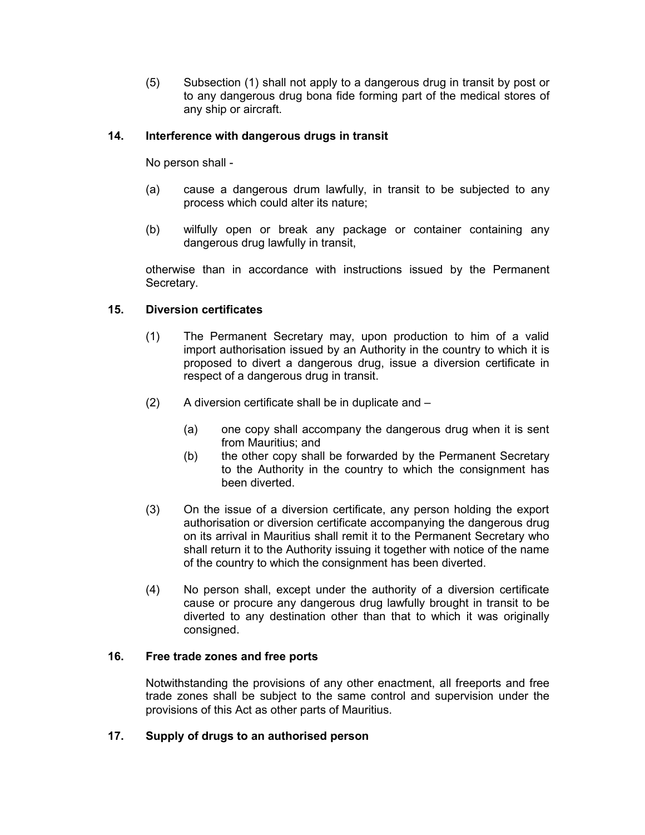(5) Subsection (1) shall not apply to a dangerous drug in transit by post or to any dangerous drug bona fide forming part of the medical stores of any ship or aircraft.

### **14. Interference with dangerous drugs in transit**

<span id="page-12-3"></span>No person shall -

- (a) cause a dangerous drum lawfully, in transit to be subjected to any process which could alter its nature;
- (b) wilfully open or break any package or container containing any dangerous drug lawfully in transit,

otherwise than in accordance with instructions issued by the Permanent Secretary.

### **15. Diversion certificates**

- <span id="page-12-2"></span>(1) The Permanent Secretary may, upon production to him of a valid import authorisation issued by an Authority in the country to which it is proposed to divert a dangerous drug, issue a diversion certificate in respect of a dangerous drug in transit.
- (2) A diversion certificate shall be in duplicate and
	- (a) one copy shall accompany the dangerous drug when it is sent from Mauritius; and
	- (b) the other copy shall be forwarded by the Permanent Secretary to the Authority in the country to which the consignment has been diverted.
- (3) On the issue of a diversion certificate, any person holding the export authorisation or diversion certificate accompanying the dangerous drug on its arrival in Mauritius shall remit it to the Permanent Secretary who shall return it to the Authority issuing it together with notice of the name of the country to which the consignment has been diverted.
- (4) No person shall, except under the authority of a diversion certificate cause or procure any dangerous drug lawfully brought in transit to be diverted to any destination other than that to which it was originally consigned.

### **16. Free trade zones and free ports**

<span id="page-12-1"></span>Notwithstanding the provisions of any other enactment, all freeports and free trade zones shall be subject to the same control and supervision under the provisions of this Act as other parts of Mauritius.

#### <span id="page-12-0"></span>**17. Supply of drugs to an authorised person**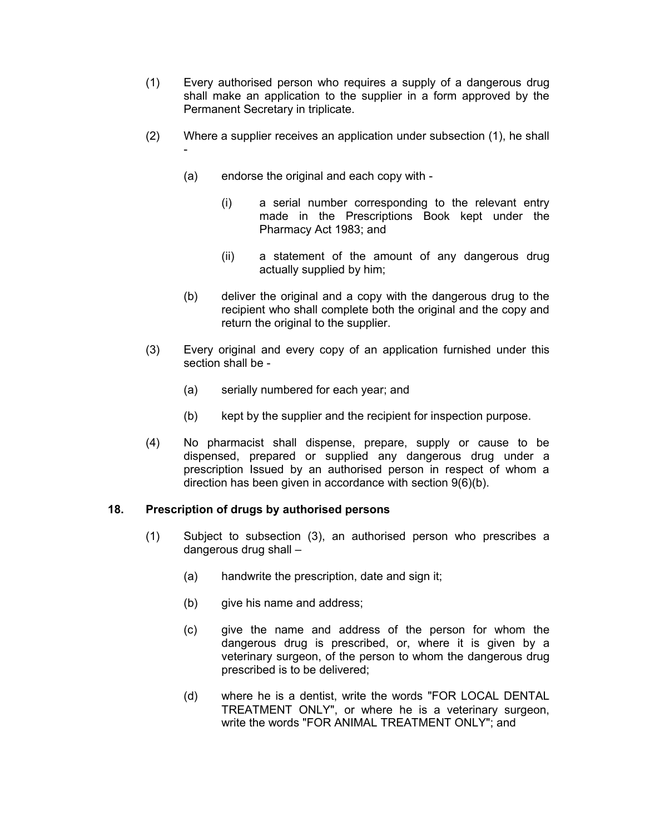- (1) Every authorised person who requires a supply of a dangerous drug shall make an application to the supplier in a form approved by the Permanent Secretary in triplicate.
- (2) Where a supplier receives an application under subsection (1), he shall -
	- (a) endorse the original and each copy with
		- (i) a serial number corresponding to the relevant entry made in the Prescriptions Book kept under the Pharmacy Act 1983; and
		- (ii) a statement of the amount of any dangerous drug actually supplied by him;
	- (b) deliver the original and a copy with the dangerous drug to the recipient who shall complete both the original and the copy and return the original to the supplier.
- (3) Every original and every copy of an application furnished under this section shall be -
	- (a) serially numbered for each year; and
	- (b) kept by the supplier and the recipient for inspection purpose.
- (4) No pharmacist shall dispense, prepare, supply or cause to be dispensed, prepared or supplied any dangerous drug under a prescription Issued by an authorised person in respect of whom a direction has been given in accordance with section 9(6)(b).

### **18. Prescription of drugs by authorised persons**

- <span id="page-13-0"></span>(1) Subject to subsection (3), an authorised person who prescribes a dangerous drug shall –
	- (a) handwrite the prescription, date and sign it;
	- (b) give his name and address;
	- (c) give the name and address of the person for whom the dangerous drug is prescribed, or, where it is given by a veterinary surgeon, of the person to whom the dangerous drug prescribed is to be delivered;
	- (d) where he is a dentist, write the words "FOR LOCAL DENTAL TREATMENT ONLY", or where he is a veterinary surgeon, write the words "FOR ANIMAL TREATMENT ONLY"; and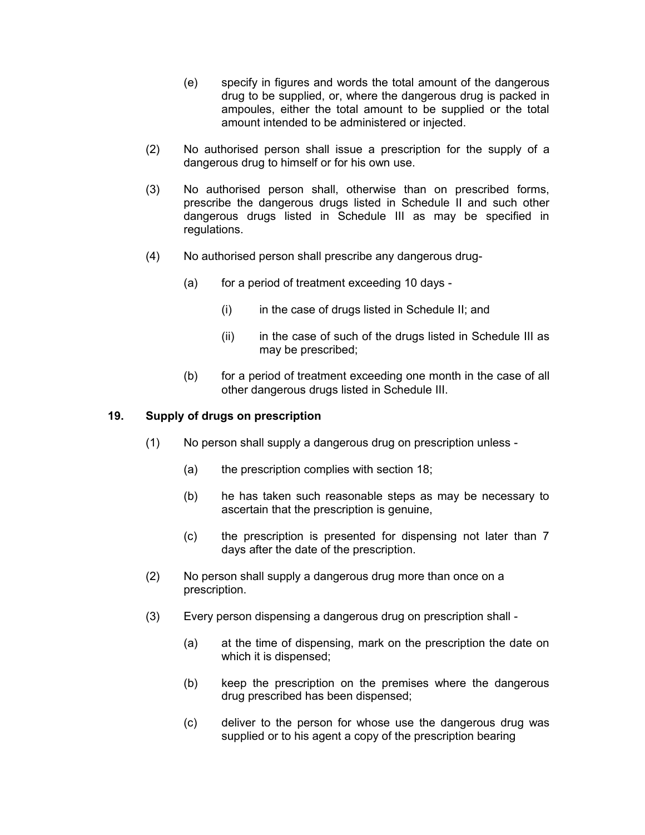- (e) specify in figures and words the total amount of the dangerous drug to be supplied, or, where the dangerous drug is packed in ampoules, either the total amount to be supplied or the total amount intended to be administered or injected.
- (2) No authorised person shall issue a prescription for the supply of a dangerous drug to himself or for his own use.
- (3) No authorised person shall, otherwise than on prescribed forms, prescribe the dangerous drugs listed in Schedule II and such other dangerous drugs listed in Schedule III as may be specified in regulations.
- (4) No authorised person shall prescribe any dangerous drug-
	- (a) for a period of treatment exceeding 10 days
		- (i) in the case of drugs listed in Schedule II; and
		- (ii) in the case of such of the drugs listed in Schedule III as may be prescribed;
	- (b) for a period of treatment exceeding one month in the case of all other dangerous drugs listed in Schedule III.

#### **19. Supply of drugs on prescription**

- <span id="page-14-0"></span>(1) No person shall supply a dangerous drug on prescription unless -
	- (a) the prescription complies with section 18;
	- (b) he has taken such reasonable steps as may be necessary to ascertain that the prescription is genuine,
	- (c) the prescription is presented for dispensing not later than 7 days after the date of the prescription.
- (2) No person shall supply a dangerous drug more than once on a prescription.
- (3) Every person dispensing a dangerous drug on prescription shall
	- (a) at the time of dispensing, mark on the prescription the date on which it is dispensed;
	- (b) keep the prescription on the premises where the dangerous drug prescribed has been dispensed;
	- (c) deliver to the person for whose use the dangerous drug was supplied or to his agent a copy of the prescription bearing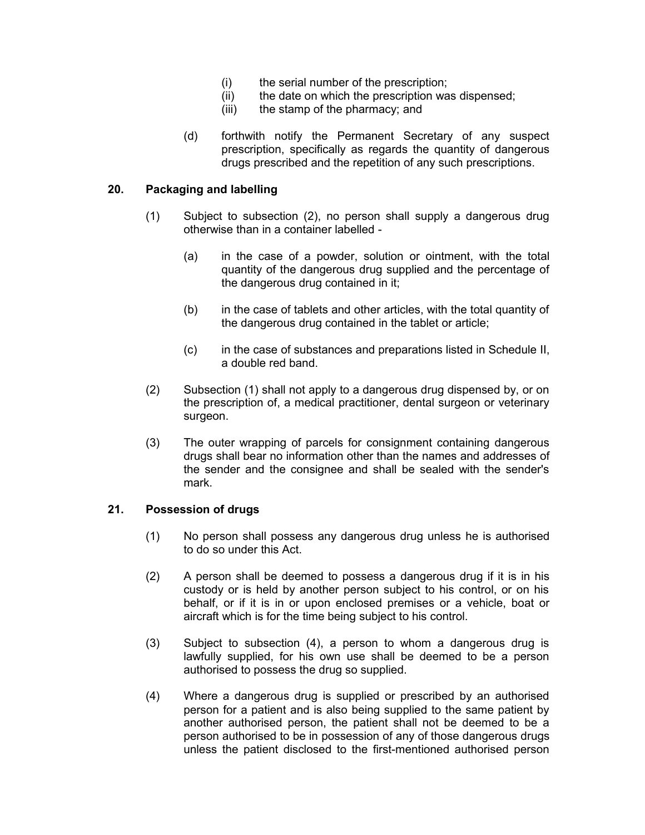- (i) the serial number of the prescription;
- (ii) the date on which the prescription was dispensed;
- (iii) the stamp of the pharmacy; and
- (d) forthwith notify the Permanent Secretary of any suspect prescription, specifically as regards the quantity of dangerous drugs prescribed and the repetition of any such prescriptions.

### **20. Packaging and labelling**

- <span id="page-15-1"></span>(1) Subject to subsection (2), no person shall supply a dangerous drug otherwise than in a container labelled -
	- (a) in the case of a powder, solution or ointment, with the total quantity of the dangerous drug supplied and the percentage of the dangerous drug contained in it;
	- (b) in the case of tablets and other articles, with the total quantity of the dangerous drug contained in the tablet or article;
	- (c) in the case of substances and preparations listed in Schedule II, a double red band.
- (2) Subsection (1) shall not apply to a dangerous drug dispensed by, or on the prescription of, a medical practitioner, dental surgeon or veterinary surgeon.
- (3) The outer wrapping of parcels for consignment containing dangerous drugs shall bear no information other than the names and addresses of the sender and the consignee and shall be sealed with the sender's mark.

#### **21. Possession of drugs**

- <span id="page-15-0"></span>(1) No person shall possess any dangerous drug unless he is authorised to do so under this Act.
- (2) A person shall be deemed to possess a dangerous drug if it is in his custody or is held by another person subject to his control, or on his behalf, or if it is in or upon enclosed premises or a vehicle, boat or aircraft which is for the time being subject to his control.
- (3) Subject to subsection (4), a person to whom a dangerous drug is lawfully supplied, for his own use shall be deemed to be a person authorised to possess the drug so supplied.
- (4) Where a dangerous drug is supplied or prescribed by an authorised person for a patient and is also being supplied to the same patient by another authorised person, the patient shall not be deemed to be a person authorised to be in possession of any of those dangerous drugs unless the patient disclosed to the first-mentioned authorised person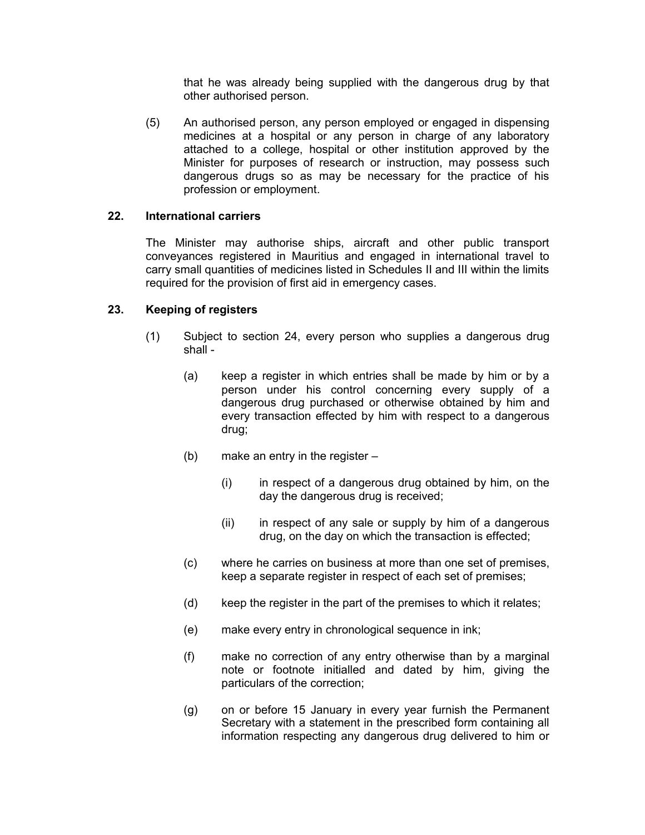that he was already being supplied with the dangerous drug by that other authorised person.

(5) An authorised person, any person employed or engaged in dispensing medicines at a hospital or any person in charge of any laboratory attached to a college, hospital or other institution approved by the Minister for purposes of research or instruction, may possess such dangerous drugs so as may be necessary for the practice of his profession or employment.

### **22. International carriers**

<span id="page-16-1"></span>The Minister may authorise ships, aircraft and other public transport conveyances registered in Mauritius and engaged in international travel to carry small quantities of medicines listed in Schedules II and III within the limits required for the provision of first aid in emergency cases.

### **23. Keeping of registers**

- <span id="page-16-0"></span>(1) Subject to section 24, every person who supplies a dangerous drug shall -
	- (a) keep a register in which entries shall be made by him or by a person under his control concerning every supply of a dangerous drug purchased or otherwise obtained by him and every transaction effected by him with respect to a dangerous drug;
	- (b) make an entry in the register
		- (i) in respect of a dangerous drug obtained by him, on the day the dangerous drug is received;
		- $(ii)$  in respect of any sale or supply by him of a dangerous drug, on the day on which the transaction is effected;
	- (c) where he carries on business at more than one set of premises, keep a separate register in respect of each set of premises;
	- (d) keep the register in the part of the premises to which it relates;
	- (e) make every entry in chronological sequence in ink;
	- (f) make no correction of any entry otherwise than by a marginal note or footnote initialled and dated by him, giving the particulars of the correction;
	- (g) on or before 15 January in every year furnish the Permanent Secretary with a statement in the prescribed form containing all information respecting any dangerous drug delivered to him or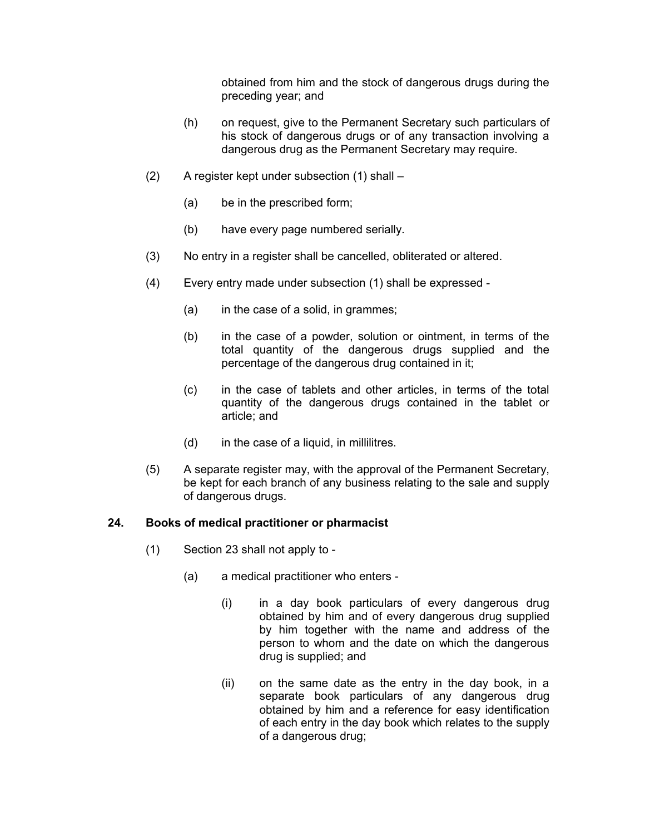obtained from him and the stock of dangerous drugs during the preceding year; and

- (h) on request, give to the Permanent Secretary such particulars of his stock of dangerous drugs or of any transaction involving a dangerous drug as the Permanent Secretary may require.
- (2) A register kept under subsection (1) shall
	- (a) be in the prescribed form;
	- (b) have every page numbered serially.
- (3) No entry in a register shall be cancelled, obliterated or altered.
- (4) Every entry made under subsection (1) shall be expressed
	- (a) in the case of a solid, in grammes;
	- (b) in the case of a powder, solution or ointment, in terms of the total quantity of the dangerous drugs supplied and the percentage of the dangerous drug contained in it;
	- (c) in the case of tablets and other articles, in terms of the total quantity of the dangerous drugs contained in the tablet or article; and
	- (d) in the case of a liquid, in millilitres.
- (5) A separate register may, with the approval of the Permanent Secretary, be kept for each branch of any business relating to the sale and supply of dangerous drugs.

#### **24. Books of medical practitioner or pharmacist**

- <span id="page-17-0"></span>(1) Section 23 shall not apply to -
	- (a) a medical practitioner who enters
		- (i) in a day book particulars of every dangerous drug obtained by him and of every dangerous drug supplied by him together with the name and address of the person to whom and the date on which the dangerous drug is supplied; and
		- (ii) on the same date as the entry in the day book, in a separate book particulars of any dangerous drug obtained by him and a reference for easy identification of each entry in the day book which relates to the supply of a dangerous drug;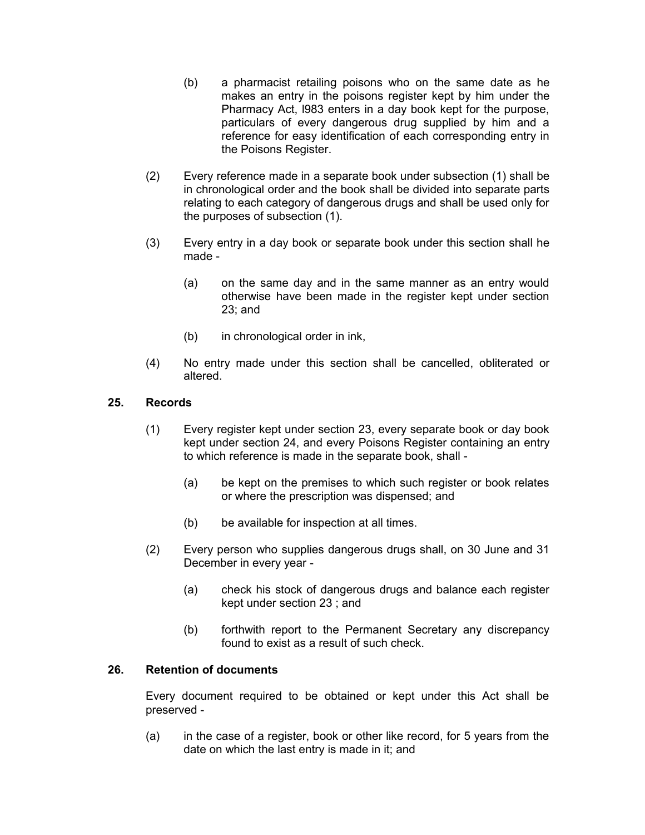- (b) a pharmacist retailing poisons who on the same date as he makes an entry in the poisons register kept by him under the Pharmacy Act, l983 enters in a day book kept for the purpose, particulars of every dangerous drug supplied by him and a reference for easy identification of each corresponding entry in the Poisons Register.
- (2) Every reference made in a separate book under subsection (1) shall be in chronological order and the book shall be divided into separate parts relating to each category of dangerous drugs and shall be used only for the purposes of subsection (1).
- (3) Every entry in a day book or separate book under this section shall he made -
	- (a) on the same day and in the same manner as an entry would otherwise have been made in the register kept under section 23; and
	- (b) in chronological order in ink,
- (4) No entry made under this section shall be cancelled, obliterated or altered.

### **25. Records**

- <span id="page-18-1"></span>(1) Every register kept under section 23, every separate book or day book kept under section 24, and every Poisons Register containing an entry to which reference is made in the separate book, shall -
	- (a) be kept on the premises to which such register or book relates or where the prescription was dispensed; and
	- (b) be available for inspection at all times.
- (2) Every person who supplies dangerous drugs shall, on 30 June and 31 December in every year -
	- (a) check his stock of dangerous drugs and balance each register kept under section 23 ; and
	- (b) forthwith report to the Permanent Secretary any discrepancy found to exist as a result of such check.

#### **26. Retention of documents**

<span id="page-18-0"></span>Every document required to be obtained or kept under this Act shall be preserved -

(a) in the case of a register, book or other like record, for 5 years from the date on which the last entry is made in it; and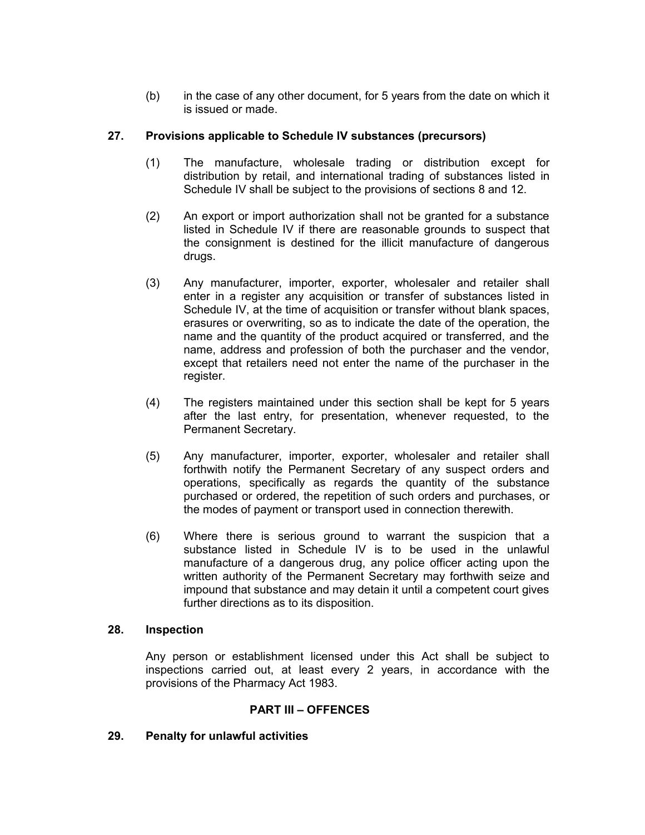(b) in the case of any other document, for 5 years from the date on which it is issued or made.

### **27. Provisions applicable to Schedule IV substances (precursors)**

- <span id="page-19-2"></span>(1) The manufacture, wholesale trading or distribution except for distribution by retail, and international trading of substances listed in Schedule IV shall be subject to the provisions of sections 8 and 12.
- (2) An export or import authorization shall not be granted for a substance listed in Schedule IV if there are reasonable grounds to suspect that the consignment is destined for the illicit manufacture of dangerous drugs.
- (3) Any manufacturer, importer, exporter, wholesaler and retailer shall enter in a register any acquisition or transfer of substances listed in Schedule IV, at the time of acquisition or transfer without blank spaces, erasures or overwriting, so as to indicate the date of the operation, the name and the quantity of the product acquired or transferred, and the name, address and profession of both the purchaser and the vendor, except that retailers need not enter the name of the purchaser in the register.
- (4) The registers maintained under this section shall be kept for 5 years after the last entry, for presentation, whenever requested, to the Permanent Secretary.
- (5) Any manufacturer, importer, exporter, wholesaler and retailer shall forthwith notify the Permanent Secretary of any suspect orders and operations, specifically as regards the quantity of the substance purchased or ordered, the repetition of such orders and purchases, or the modes of payment or transport used in connection therewith.
- (6) Where there is serious ground to warrant the suspicion that a substance listed in Schedule IV is to be used in the unlawful manufacture of a dangerous drug, any police officer acting upon the written authority of the Permanent Secretary may forthwith seize and impound that substance and may detain it until a competent court gives further directions as to its disposition.

#### **28. Inspection**

<span id="page-19-1"></span>Any person or establishment licensed under this Act shall be subject to inspections carried out, at least every 2 years, in accordance with the provisions of the Pharmacy Act 1983.

### **PART III – OFFENCES**

#### <span id="page-19-0"></span>**29. Penalty for unlawful activities**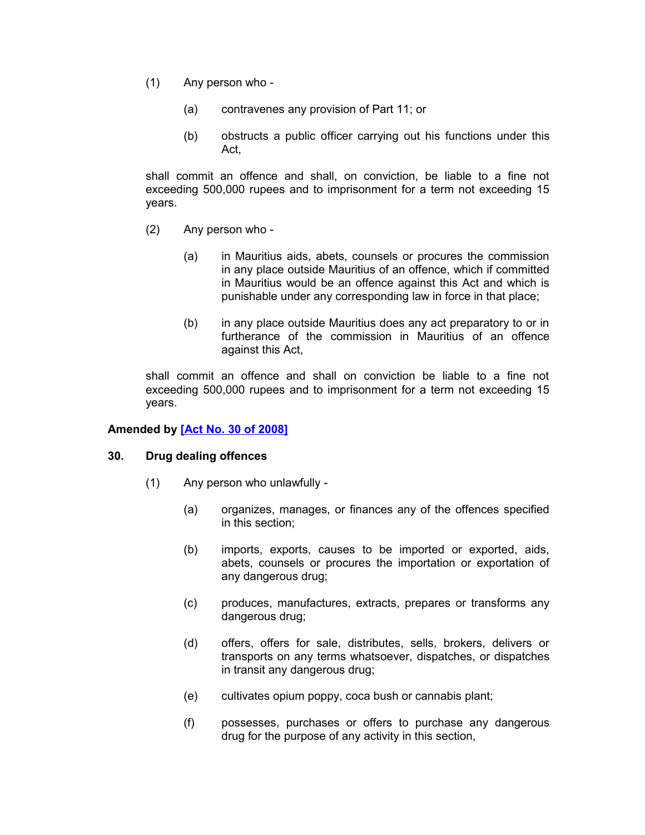- (1) Any person who
	- (a) contravenes any provision of Part 11; or
	- (b) obstructs a public officer carrying out his functions under this Act,

shall commit an offence and shall, on conviction, be liable to a fine not exceeding 500,000 rupees and to imprisonment for a term not exceeding 15 years.

- (2) Any person who
	- (a) in Mauritius aids, abets, counsels or procures the commission in any place outside Mauritius of an offence, which if committed in Mauritius would be an offence against this Act and which is punishable under any corresponding law in force in that place;
	- (b) in any place outside Mauritius does any act preparatory to or in furtherance of the commission in Mauritius of an offence against this Act,

shall commit an offence and shall on conviction be liable to a fine not exceeding 500,000 rupees and to imprisonment for a term not exceeding 15 years.

### **Amended by [\[Act No. 30 of 2008\]](http://www1.gov.mu/scourt/doc/showDoc.do?dk=Act%20No.%2030%20of%202008&dt=A)**

#### **30. Drug dealing offences**

- <span id="page-20-0"></span>(1) Any person who unlawfully -
	- (a) organizes, manages, or finances any of the offences specified in this section;
	- (b) imports, exports, causes to be imported or exported, aids, abets, counsels or procures the importation or exportation of any dangerous drug;
	- (c) produces, manufactures, extracts, prepares or transforms any dangerous drug;
	- (d) offers, offers for sale, distributes, sells, brokers, delivers or transports on any terms whatsoever, dispatches, or dispatches in transit any dangerous drug;
	- (e) cultivates opium poppy, coca bush or cannabis plant;
	- (f) possesses, purchases or offers to purchase any dangerous drug for the purpose of any activity in this section,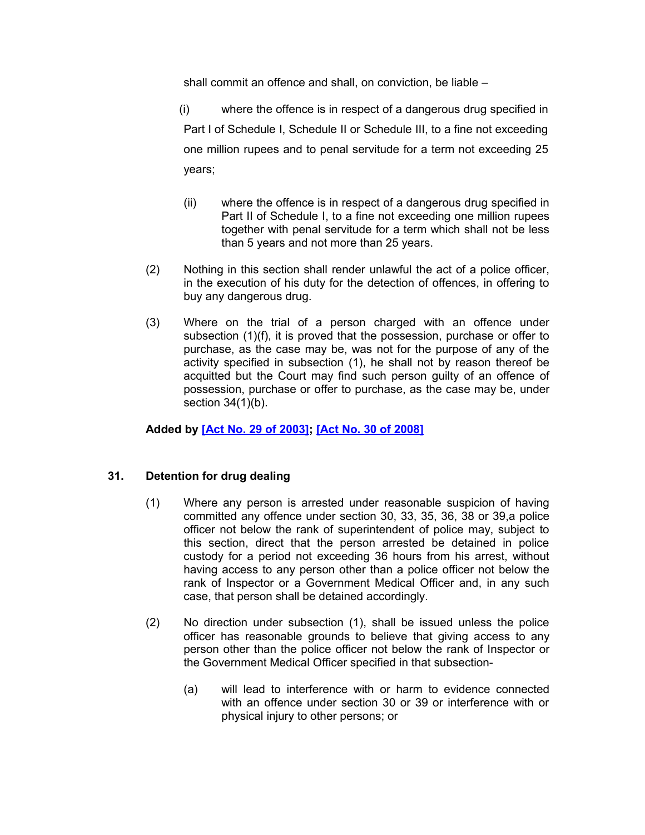shall commit an offence and shall, on conviction, be liable –

 (i) where the offence is in respect of a dangerous drug specified in Part I of Schedule I, Schedule II or Schedule III, to a fine not exceeding one million rupees and to penal servitude for a term not exceeding 25 years;

- (ii) where the offence is in respect of a dangerous drug specified in Part II of Schedule I, to a fine not exceeding one million rupees together with penal servitude for a term which shall not be less than 5 years and not more than 25 years.
- (2) Nothing in this section shall render unlawful the act of a police officer, in the execution of his duty for the detection of offences, in offering to buy any dangerous drug.
- (3) Where on the trial of a person charged with an offence under subsection (1)(f), it is proved that the possession, purchase or offer to purchase, as the case may be, was not for the purpose of any of the activity specified in subsection (1), he shall not by reason thereof be acquitted but the Court may find such person guilty of an offence of possession, purchase or offer to purchase, as the case may be, under section 34(1)(b).

### **Added by [\[Act No. 29 of 2003\];](http://www1.gov.mu/scourt/doc/showDoc.do?dk=Act%20No.%2029%20of%202003&dt=A) [\[Act No. 30 of 2008\]](http://www1.gov.mu/scourt/doc/showDoc.do?dk=Act%20No.%2030%20of%202008&dt=A)**

### **31. Detention for drug dealing**

- <span id="page-21-0"></span>(1) Where any person is arrested under reasonable suspicion of having committed any offence under section 30, 33, 35, 36, 38 or 39,a police officer not below the rank of superintendent of police may, subject to this section, direct that the person arrested be detained in police custody for a period not exceeding 36 hours from his arrest, without having access to any person other than a police officer not below the rank of Inspector or a Government Medical Officer and, in any such case, that person shall be detained accordingly.
- (2) No direction under subsection (1), shall be issued unless the police officer has reasonable grounds to believe that giving access to any person other than the police officer not below the rank of Inspector or the Government Medical Officer specified in that subsection-
	- (a) will lead to interference with or harm to evidence connected with an offence under section 30 or 39 or interference with or physical injury to other persons; or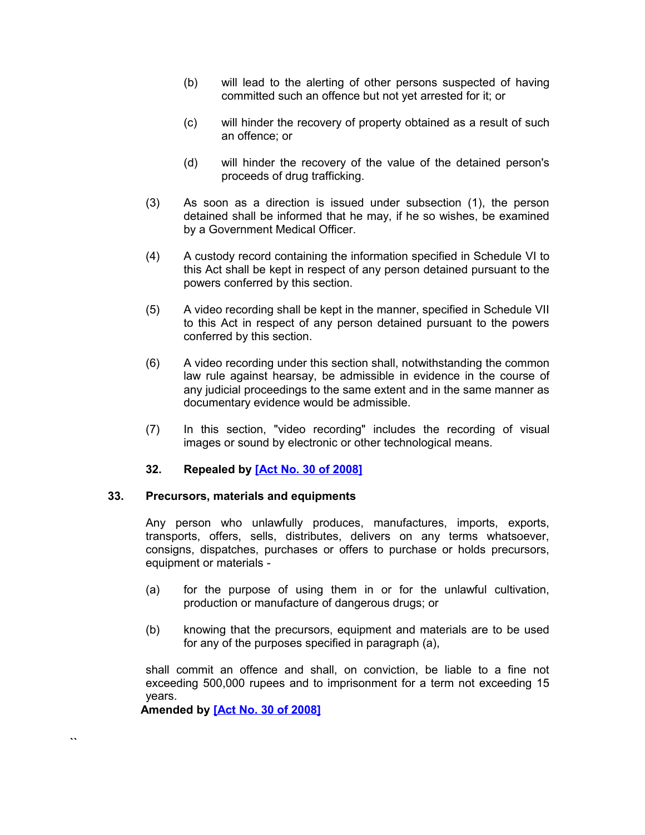- (b) will lead to the alerting of other persons suspected of having committed such an offence but not yet arrested for it; or
- (c) will hinder the recovery of property obtained as a result of such an offence; or
- (d) will hinder the recovery of the value of the detained person's proceeds of drug trafficking.
- (3) As soon as a direction is issued under subsection (1), the person detained shall be informed that he may, if he so wishes, be examined by a Government Medical Officer.
- (4) A custody record containing the information specified in Schedule VI to this Act shall be kept in respect of any person detained pursuant to the powers conferred by this section.
- (5) A video recording shall be kept in the manner, specified in Schedule VII to this Act in respect of any person detained pursuant to the powers conferred by this section.
- (6) A video recording under this section shall, notwithstanding the common law rule against hearsay, be admissible in evidence in the course of any judicial proceedings to the same extent and in the same manner as documentary evidence would be admissible.
- (7) In this section, "video recording" includes the recording of visual images or sound by electronic or other technological means.

### <span id="page-22-2"></span><span id="page-22-1"></span>**32. Repealed by [\[Act No. 30 of 2008\]](http://www1.gov.mu/scourt/doc/showDoc.do?dk=Act%20No.%2030%20of%202008&dt=A)**

#### **33. Precursors, materials and equipments**

Any person who unlawfully produces, manufactures, imports, exports, transports, offers, sells, distributes, delivers on any terms whatsoever, consigns, dispatches, purchases or offers to purchase or holds precursors, equipment or materials -

- (a) for the purpose of using them in or for the unlawful cultivation, production or manufacture of dangerous drugs; or
- (b) knowing that the precursors, equipment and materials are to be used for any of the purposes specified in paragraph (a),

shall commit an offence and shall, on conviction, be liable to a fine not exceeding 500,000 rupees and to imprisonment for a term not exceeding 15 years.

 **Amended by [\[Act No. 30 of 2008\]](http://www1.gov.mu/scourt/doc/showDoc.do?dk=Act%20No.%2030%20of%202008&dt=A)**

<span id="page-22-0"></span>**``**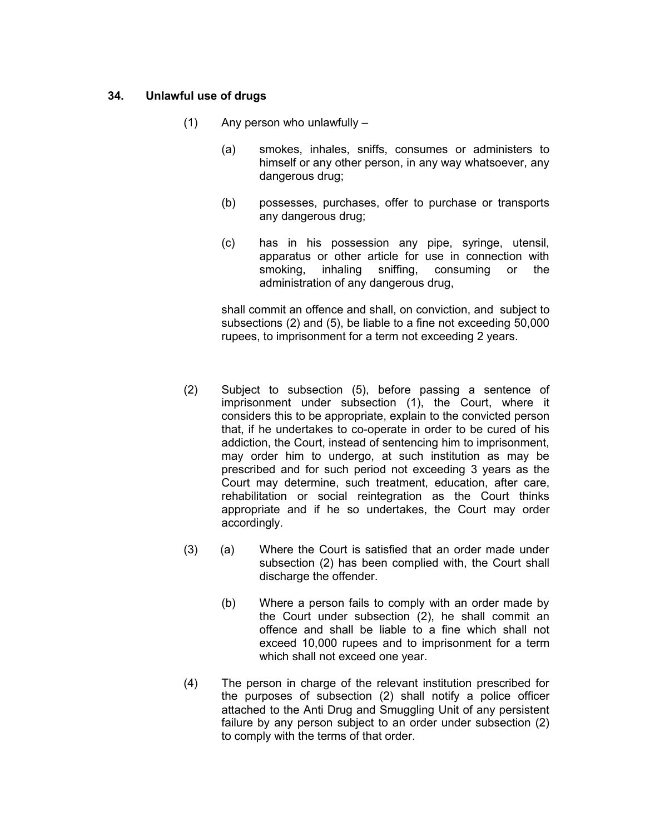#### **34. Unlawful use of drugs**

- (1) Any person who unlawfully
	- (a) smokes, inhales, sniffs, consumes or administers to himself or any other person, in any way whatsoever, any dangerous drug;
	- (b) possesses, purchases, offer to purchase or transports any dangerous drug;
	- (c) has in his possession any pipe, syringe, utensil, apparatus or other article for use in connection with smoking, inhaling sniffing, consuming or the administration of any dangerous drug,

shall commit an offence and shall, on conviction, and subject to subsections (2) and (5), be liable to a fine not exceeding 50,000 rupees, to imprisonment for a term not exceeding 2 years.

- (2) Subject to subsection (5), before passing a sentence of imprisonment under subsection (1), the Court, where it considers this to be appropriate, explain to the convicted person that, if he undertakes to co-operate in order to be cured of his addiction, the Court, instead of sentencing him to imprisonment, may order him to undergo, at such institution as may be prescribed and for such period not exceeding 3 years as the Court may determine, such treatment, education, after care, rehabilitation or social reintegration as the Court thinks appropriate and if he so undertakes, the Court may order accordingly.
- (3) (a) Where the Court is satisfied that an order made under subsection (2) has been complied with, the Court shall discharge the offender.
	- (b) Where a person fails to comply with an order made by the Court under subsection (2), he shall commit an offence and shall be liable to a fine which shall not exceed 10,000 rupees and to imprisonment for a term which shall not exceed one year.
- (4) The person in charge of the relevant institution prescribed for the purposes of subsection (2) shall notify a police officer attached to the Anti Drug and Smuggling Unit of any persistent failure by any person subject to an order under subsection (2) to comply with the terms of that order.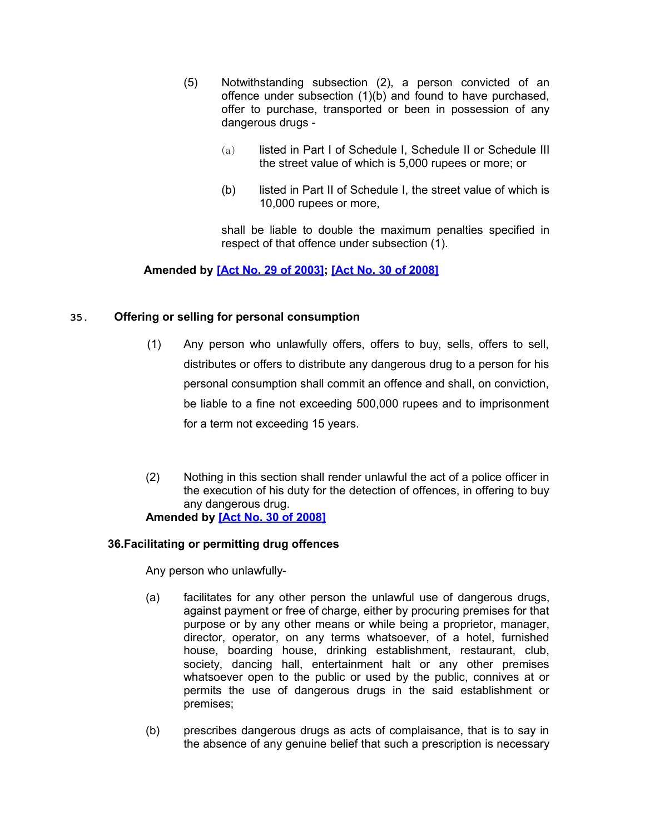- (5) Notwithstanding subsection (2), a person convicted of an offence under subsection (1)(b) and found to have purchased, offer to purchase, transported or been in possession of any dangerous drugs -
	- (a) listed in Part I of Schedule I, Schedule II or Schedule III the street value of which is 5,000 rupees or more; or
	- (b) listed in Part II of Schedule I, the street value of which is 10,000 rupees or more,

shall be liable to double the maximum penalties specified in respect of that offence under subsection (1).

## **Amended by [\[Act No. 29 of 2003\];](http://www1.gov.mu/scourt/doc/showDoc.do?dk=Act%20No.%2029%20of%202003&dt=A) [\[Act No. 30 of 2008\]](http://www1.gov.mu/scourt/doc/showDoc.do?dk=Act%20No.%2030%20of%202008&dt=A)**

### <span id="page-24-1"></span>**35. Offering or selling for personal consumption**

- (1) Any person who unlawfully offers, offers to buy, sells, offers to sell, distributes or offers to distribute any dangerous drug to a person for his personal consumption shall commit an offence and shall, on conviction, be liable to a fine not exceeding 500,000 rupees and to imprisonment for a term not exceeding 15 years.
- (2) Nothing in this section shall render unlawful the act of a police officer in the execution of his duty for the detection of offences, in offering to buy any dangerous drug. **Amended by [\[Act No. 30 of 2008\]](http://www1.gov.mu/scourt/doc/showDoc.do?dk=Act%20No.%2030%20of%202008&dt=A)**

# <span id="page-24-0"></span>**36.Facilitating or permitting drug offences**

Any person who unlawfully-

- (a) facilitates for any other person the unlawful use of dangerous drugs, against payment or free of charge, either by procuring premises for that purpose or by any other means or while being a proprietor, manager, director, operator, on any terms whatsoever, of a hotel, furnished house, boarding house, drinking establishment, restaurant, club, society, dancing hall, entertainment halt or any other premises whatsoever open to the public or used by the public, connives at or permits the use of dangerous drugs in the said establishment or premises;
- (b) prescribes dangerous drugs as acts of complaisance, that is to say in the absence of any genuine belief that such a prescription is necessary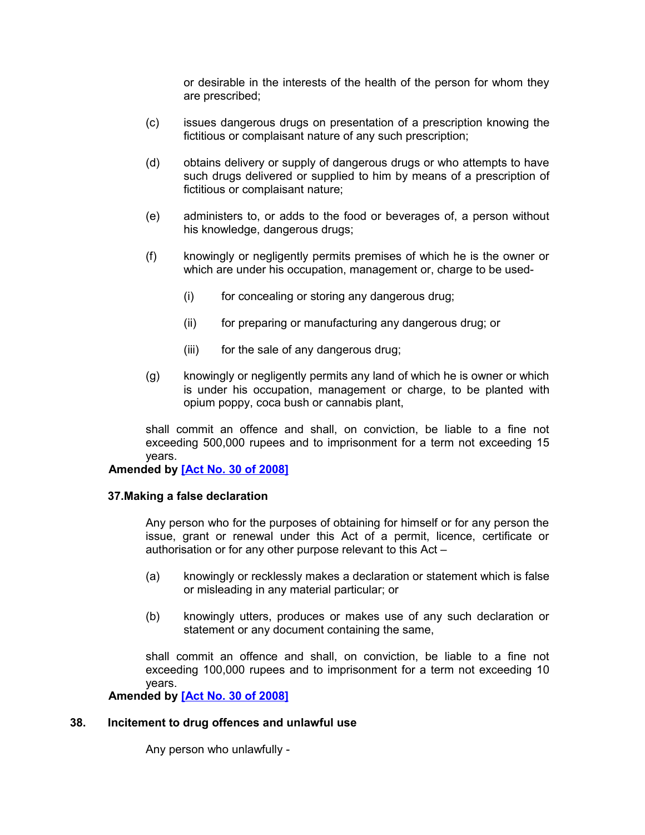or desirable in the interests of the health of the person for whom they are prescribed;

- (c) issues dangerous drugs on presentation of a prescription knowing the fictitious or complaisant nature of any such prescription;
- (d) obtains delivery or supply of dangerous drugs or who attempts to have such drugs delivered or supplied to him by means of a prescription of fictitious or complaisant nature;
- (e) administers to, or adds to the food or beverages of, a person without his knowledge, dangerous drugs;
- (f) knowingly or negligently permits premises of which he is the owner or which are under his occupation, management or, charge to be used-
	- (i) for concealing or storing any dangerous drug;
	- (ii) for preparing or manufacturing any dangerous drug; or
	- (iii) for the sale of any dangerous drug;
- (g) knowingly or negligently permits any land of which he is owner or which is under his occupation, management or charge, to be planted with opium poppy, coca bush or cannabis plant,

shall commit an offence and shall, on conviction, be liable to a fine not exceeding 500,000 rupees and to imprisonment for a term not exceeding 15 years.

#### **Amended by [\[Act No. 30 of 2008\]](http://www1.gov.mu/scourt/doc/showDoc.do?dk=Act%20No.%2030%20of%202008&dt=A)**

#### <span id="page-25-1"></span>**37.Making a false declaration**

Any person who for the purposes of obtaining for himself or for any person the issue, grant or renewal under this Act of a permit, licence, certificate or authorisation or for any other purpose relevant to this Act –

- (a) knowingly or recklessly makes a declaration or statement which is false or misleading in any material particular; or
- (b) knowingly utters, produces or makes use of any such declaration or statement or any document containing the same,

shall commit an offence and shall, on conviction, be liable to a fine not exceeding 100,000 rupees and to imprisonment for a term not exceeding 10 years.

<span id="page-25-0"></span> **Amended by [\[Act No. 30 of 2008\]](http://www1.gov.mu/scourt/doc/showDoc.do?dk=Act%20No.%2030%20of%202008&dt=A)**

#### **38. Incitement to drug offences and unlawful use**

Any person who unlawfully -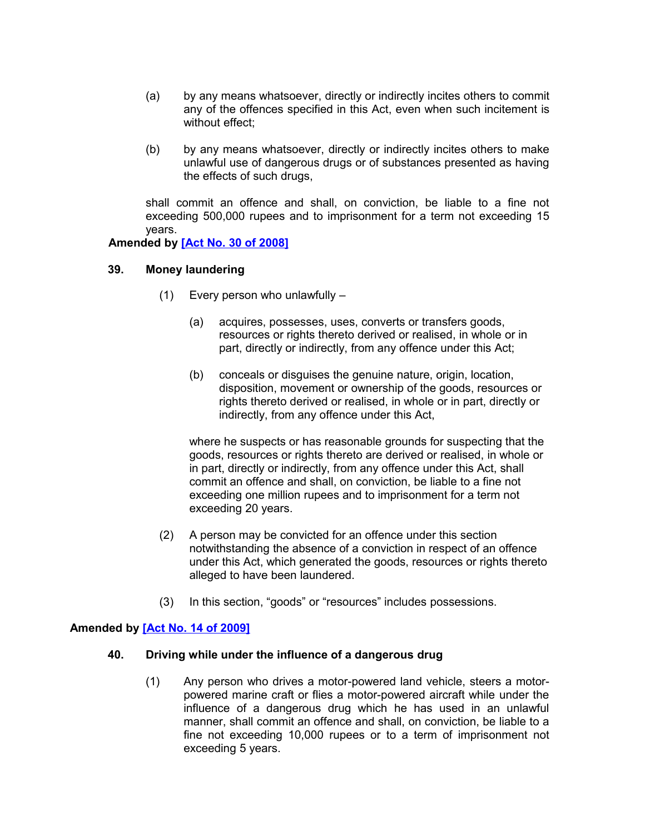- (a) by any means whatsoever, directly or indirectly incites others to commit any of the offences specified in this Act, even when such incitement is without effect;
- (b) by any means whatsoever, directly or indirectly incites others to make unlawful use of dangerous drugs or of substances presented as having the effects of such drugs,

shall commit an offence and shall, on conviction, be liable to a fine not exceeding 500,000 rupees and to imprisonment for a term not exceeding 15 years.

#### **Amended by [\[Act No. 30 of 2008\]](http://www1.gov.mu/scourt/doc/showDoc.do?dk=Act%20No.%2030%20of%202008&dt=A)**

### **39. Money laundering**

- <span id="page-26-1"></span>(1) Every person who unlawfully –
	- (a) acquires, possesses, uses, converts or transfers goods, resources or rights thereto derived or realised, in whole or in part, directly or indirectly, from any offence under this Act;
	- (b) conceals or disguises the genuine nature, origin, location, disposition, movement or ownership of the goods, resources or rights thereto derived or realised, in whole or in part, directly or indirectly, from any offence under this Act,

where he suspects or has reasonable grounds for suspecting that the goods, resources or rights thereto are derived or realised, in whole or in part, directly or indirectly, from any offence under this Act, shall commit an offence and shall, on conviction, be liable to a fine not exceeding one million rupees and to imprisonment for a term not exceeding 20 years.

- (2) A person may be convicted for an offence under this section notwithstanding the absence of a conviction in respect of an offence under this Act, which generated the goods, resources or rights thereto alleged to have been laundered.
- (3) In this section, "goods" or "resources" includes possessions.

### **Amended by [\[Act No. 14 of 2009\]](http://www1.gov.mu/scourt/doc/showDoc.do?dk=Act%20No.%2014%20of%202009&dt=A)**

#### **40. Driving while under the influence of a dangerous drug**

<span id="page-26-0"></span>(1) Any person who drives a motor-powered land vehicle, steers a motorpowered marine craft or flies a motor-powered aircraft while under the influence of a dangerous drug which he has used in an unlawful manner, shall commit an offence and shall, on conviction, be liable to a fine not exceeding 10,000 rupees or to a term of imprisonment not exceeding 5 years.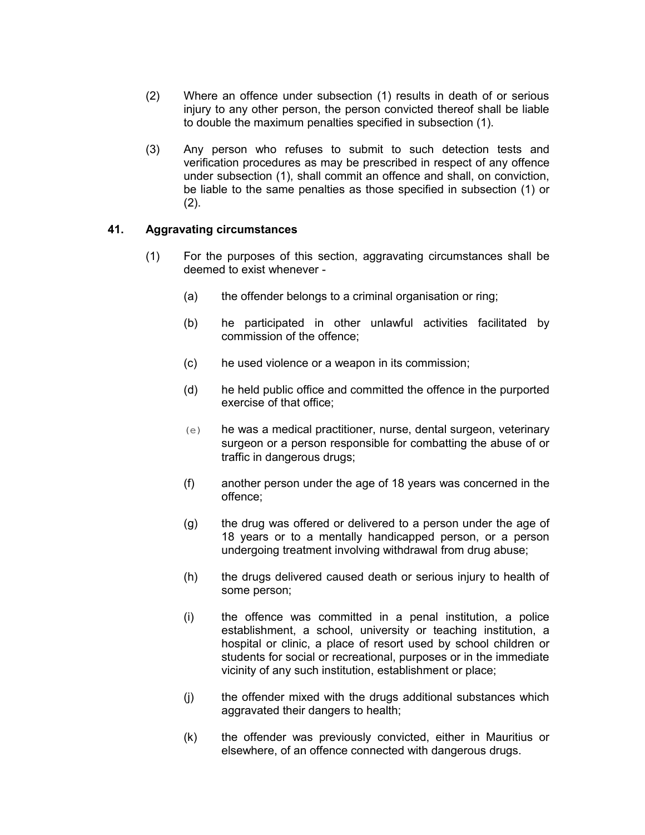- (2) Where an offence under subsection (1) results in death of or serious injury to any other person, the person convicted thereof shall be liable to double the maximum penalties specified in subsection (1).
- (3) Any person who refuses to submit to such detection tests and verification procedures as may be prescribed in respect of any offence under subsection (1), shall commit an offence and shall, on conviction, be liable to the same penalties as those specified in subsection (1) or  $(2).$

### **41. Aggravating circumstances**

- <span id="page-27-0"></span>(1) For the purposes of this section, aggravating circumstances shall be deemed to exist whenever -
	- (a) the offender belongs to a criminal organisation or ring;
	- (b) he participated in other unlawful activities facilitated by commission of the offence;
	- (c) he used violence or a weapon in its commission;
	- (d) he held public office and committed the offence in the purported exercise of that office;
	- (e) he was a medical practitioner, nurse, dental surgeon, veterinary surgeon or a person responsible for combatting the abuse of or traffic in dangerous drugs;
	- (f) another person under the age of 18 years was concerned in the offence;
	- (g) the drug was offered or delivered to a person under the age of 18 years or to a mentally handicapped person, or a person undergoing treatment involving withdrawal from drug abuse;
	- (h) the drugs delivered caused death or serious injury to health of some person;
	- (i) the offence was committed in a penal institution, a police establishment, a school, university or teaching institution, a hospital or clinic, a place of resort used by school children or students for social or recreational, purposes or in the immediate vicinity of any such institution, establishment or place;
	- (j) the offender mixed with the drugs additional substances which aggravated their dangers to health;
	- (k) the offender was previously convicted, either in Mauritius or elsewhere, of an offence connected with dangerous drugs.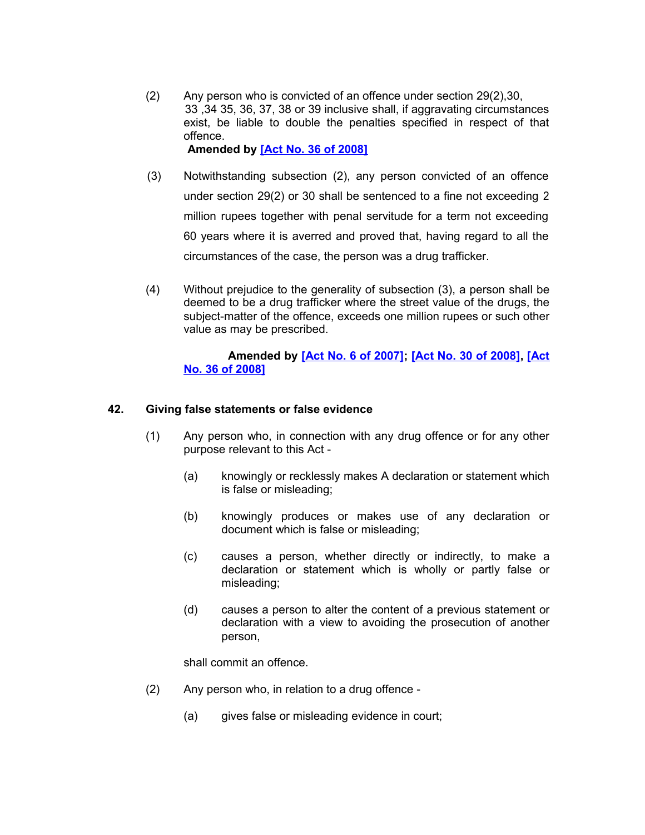- (2) Any person who is convicted of an offence under section 29(2),30, 33 ,34 35, 36, 37, 38 or 39 inclusive shall, if aggravating circumstances exist, be liable to double the penalties specified in respect of that offence. **Amended by [\[Act No. 36 of 2008\]](http://www1.gov.mu/scourt/doc/showDoc.do?dk=Act%20No.%2036%20of%202008&dt=A)**
- (3) Notwithstanding subsection (2), any person convicted of an offence under section 29(2) or 30 shall be sentenced to a fine not exceeding 2 million rupees together with penal servitude for a term not exceeding 60 years where it is averred and proved that, having regard to all the circumstances of the case, the person was a drug trafficker.
- (4) Without prejudice to the generality of subsection (3), a person shall be deemed to be a drug trafficker where the street value of the drugs, the subject-matter of the offence, exceeds one million rupees or such other value as may be prescribed.

### **Amended by [\[Act No. 6 of 2007\];](http://www1.gov.mu/scourt/doc/showDoc.do?dk=Act%20No.%206%20of%202007&dt=A) [\[Act No. 30 of 2008\],](http://www1.gov.mu/scourt/doc/showDoc.do?dk=Act%20No.%2030%20of%202008&dt=A) [\[Act](http://www1.gov.mu/scourt/doc/showDoc.do?dk=Act%20No.%2036%20of%202008&dt=A) [No. 36 of 2008\]](http://www1.gov.mu/scourt/doc/showDoc.do?dk=Act%20No.%2036%20of%202008&dt=A)**

### **42. Giving false statements or false evidence**

- <span id="page-28-0"></span>(1) Any person who, in connection with any drug offence or for any other purpose relevant to this Act -
	- (a) knowingly or recklessly makes A declaration or statement which is false or misleading;
	- (b) knowingly produces or makes use of any declaration or document which is false or misleading;
	- (c) causes a person, whether directly or indirectly, to make a declaration or statement which is wholly or partly false or misleading;
	- (d) causes a person to alter the content of a previous statement or declaration with a view to avoiding the prosecution of another person,

shall commit an offence.

- (2) Any person who, in relation to a drug offence
	- (a) gives false or misleading evidence in court;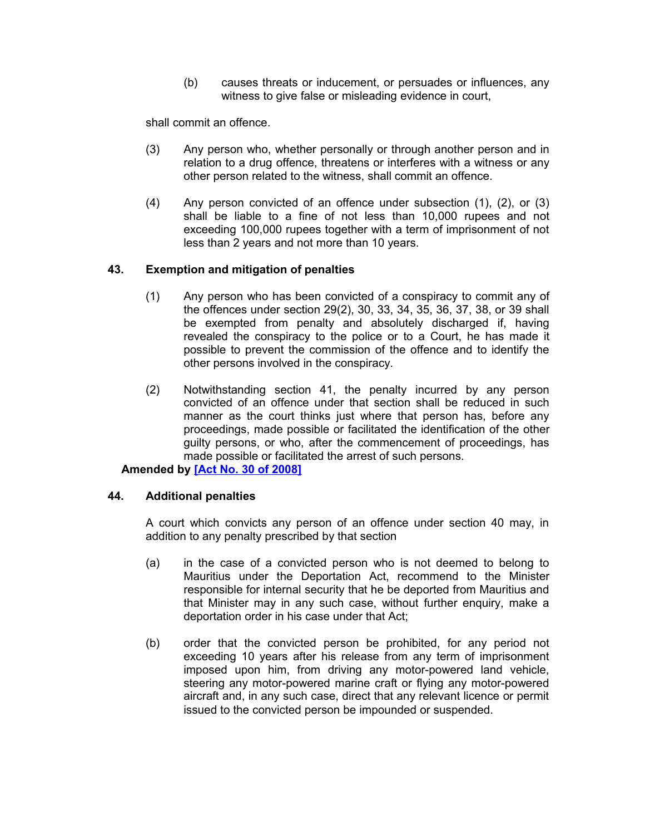(b) causes threats or inducement, or persuades or influences, any witness to give false or misleading evidence in court,

shall commit an offence.

- (3) Any person who, whether personally or through another person and in relation to a drug offence, threatens or interferes with a witness or any other person related to the witness, shall commit an offence.
- (4) Any person convicted of an offence under subsection (1), (2), or (3) shall be liable to a fine of not less than 10,000 rupees and not exceeding 100,000 rupees together with a term of imprisonment of not less than 2 years and not more than 10 years.

### **43. Exemption and mitigation of penalties**

- <span id="page-29-1"></span>(1) Any person who has been convicted of a conspiracy to commit any of the offences under section 29(2), 30, 33, 34, 35, 36, 37, 38, or 39 shall be exempted from penalty and absolutely discharged if, having revealed the conspiracy to the police or to a Court, he has made it possible to prevent the commission of the offence and to identify the other persons involved in the conspiracy.
- (2) Notwithstanding section 41, the penalty incurred by any person convicted of an offence under that section shall be reduced in such manner as the court thinks just where that person has, before any proceedings, made possible or facilitated the identification of the other guilty persons, or who, after the commencement of proceedings, has made possible or facilitated the arrest of such persons.

### **Amended by [\[Act No. 30 of 2008\]](http://www1.gov.mu/scourt/doc/showDoc.do?dk=Act%20No.%2030%20of%202008&dt=A)**

#### **44. Additional penalties**

<span id="page-29-0"></span>A court which convicts any person of an offence under section 40 may, in addition to any penalty prescribed by that section

- (a) in the case of a convicted person who is not deemed to belong to Mauritius under the Deportation Act, recommend to the Minister responsible for internal security that he be deported from Mauritius and that Minister may in any such case, without further enquiry, make a deportation order in his case under that Act;
- (b) order that the convicted person be prohibited, for any period not exceeding 10 years after his release from any term of imprisonment imposed upon him, from driving any motor-powered land vehicle, steering any motor-powered marine craft or flying any motor-powered aircraft and, in any such case, direct that any relevant licence or permit issued to the convicted person be impounded or suspended.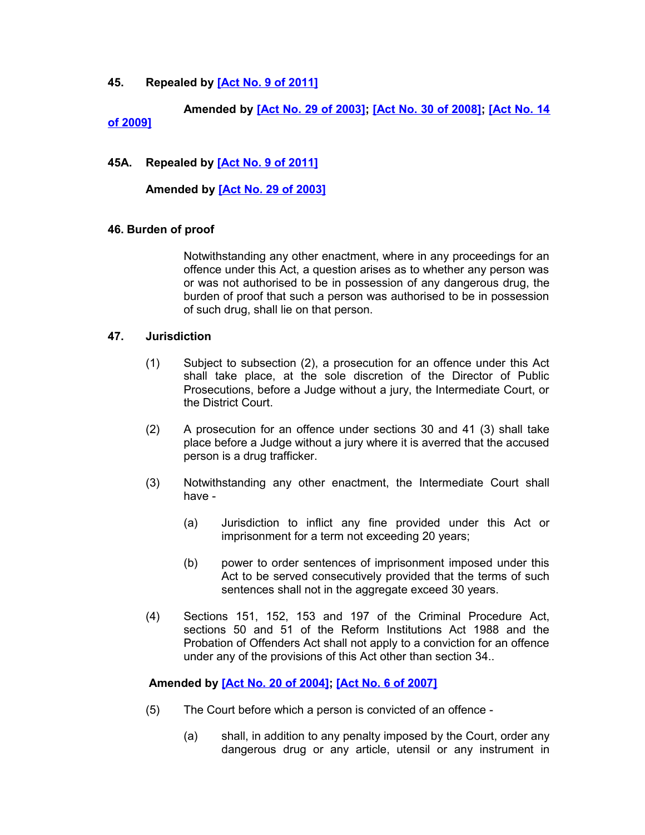### <span id="page-30-2"></span>**45. Repealed by [\[Act No. 9 of 2011\]](http://www1.gov.mu/scourt/doc/showDoc.do?dk=Act%20No.%209%20of%202011&dt=A)**

**Amended by [\[Act No. 29 of 2003\];](http://www1.gov.mu/scourt/doc/showDoc.do?dk=Act%20No.%2029%20of%202003&dt=A) [\[Act No. 30 of 2008\];](http://www1.gov.mu/scourt/doc/showDoc.do?dk=Act%20No.%2030%20of%202008&dt=A) [\[Act No. 14](http://www1.gov.mu/scourt/doc/showDoc.do?dk=Act%20No.%2014%20of%202009&dt=A) [of 2009\]](http://www1.gov.mu/scourt/doc/showDoc.do?dk=Act%20No.%2014%20of%202009&dt=A)**

### **45A. Repealed by [\[Act No. 9 of 2011\]](http://www1.gov.mu/scourt/doc/showDoc.do?dk=Act%20No.%209%20of%202011&dt=A)**

#### **Amended by [\[Act No. 29 of 2003\]](http://www1.gov.mu/scourt/doc/showDoc.do?dk=Act%20No.%2029%20of%202003&dt=A)**

#### <span id="page-30-1"></span>**46. Burden of proof**

Notwithstanding any other enactment, where in any proceedings for an offence under this Act, a question arises as to whether any person was or was not authorised to be in possession of any dangerous drug, the burden of proof that such a person was authorised to be in possession of such drug, shall lie on that person.

#### **47. Jurisdiction**

- <span id="page-30-0"></span>(1) Subject to subsection (2), a prosecution for an offence under this Act shall take place, at the sole discretion of the Director of Public Prosecutions, before a Judge without a jury, the Intermediate Court, or the District Court.
- (2) A prosecution for an offence under sections 30 and 41 (3) shall take place before a Judge without a jury where it is averred that the accused person is a drug trafficker.
- (3) Notwithstanding any other enactment, the Intermediate Court shall have -
	- (a) Jurisdiction to inflict any fine provided under this Act or imprisonment for a term not exceeding 20 years;
	- (b) power to order sentences of imprisonment imposed under this Act to be served consecutively provided that the terms of such sentences shall not in the aggregate exceed 30 years.
- (4) Sections 151, 152, 153 and 197 of the Criminal Procedure Act, sections 50 and 51 of the Reform Institutions Act 1988 and the Probation of Offenders Act shall not apply to a conviction for an offence under any of the provisions of this Act other than section 34..

#### **Amended by [\[Act No. 20 of 2004\];](http://www1.gov.mu/scourt/doc/showDoc.do?dk=Act%20No.%2020%20of%202004&dt=A) [\[Act No. 6 of 2007\]](http://www1.gov.mu/scourt/doc/showDoc.do?dk=Act%20No.%206%20of%202007&dt=A)**

- (5) The Court before which a person is convicted of an offence
	- (a) shall, in addition to any penalty imposed by the Court, order any dangerous drug or any article, utensil or any instrument in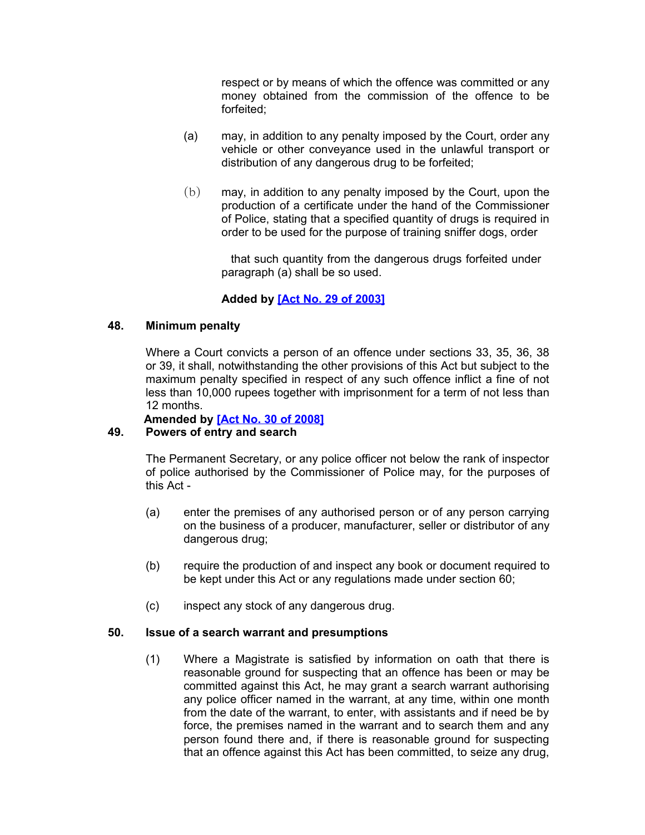respect or by means of which the offence was committed or any money obtained from the commission of the offence to be forfeited;

- (a) may, in addition to any penalty imposed by the Court, order any vehicle or other conveyance used in the unlawful transport or distribution of any dangerous drug to be forfeited;
- (b) may, in addition to any penalty imposed by the Court, upon the production of a certificate under the hand of the Commissioner of Police, stating that a specified quantity of drugs is required in order to be used for the purpose of training sniffer dogs, order

 that such quantity from the dangerous drugs forfeited under paragraph (a) shall be so used.

## **Added by [\[Act No. 29 of 2003\]](http://www1.gov.mu/scourt/doc/showDoc.do?dk=Act%20No.%2029%20of%202003&dt=A)**

### **48. Minimum penalty**

<span id="page-31-2"></span>Where a Court convicts a person of an offence under sections 33, 35, 36, 38 or 39, it shall, notwithstanding the other provisions of this Act but subject to the maximum penalty specified in respect of any such offence inflict a fine of not less than 10,000 rupees together with imprisonment for a term of not less than 12 months.

<span id="page-31-1"></span>**Amended by [\[Act No. 30 of 2008\]](http://www1.gov.mu/scourt/doc/showDoc.do?dk=Act%20No.%2030%20of%202008&dt=A)**

### **49. Powers of entry and search**

The Permanent Secretary, or any police officer not below the rank of inspector of police authorised by the Commissioner of Police may, for the purposes of this Act -

- (a) enter the premises of any authorised person or of any person carrying on the business of a producer, manufacturer, seller or distributor of any dangerous drug;
- (b) require the production of and inspect any book or document required to be kept under this Act or any regulations made under section 60;
- <span id="page-31-0"></span>(c) inspect any stock of any dangerous drug.

#### **50. Issue of a search warrant and presumptions**

(1) Where a Magistrate is satisfied by information on oath that there is reasonable ground for suspecting that an offence has been or may be committed against this Act, he may grant a search warrant authorising any police officer named in the warrant, at any time, within one month from the date of the warrant, to enter, with assistants and if need be by force, the premises named in the warrant and to search them and any person found there and, if there is reasonable ground for suspecting that an offence against this Act has been committed, to seize any drug,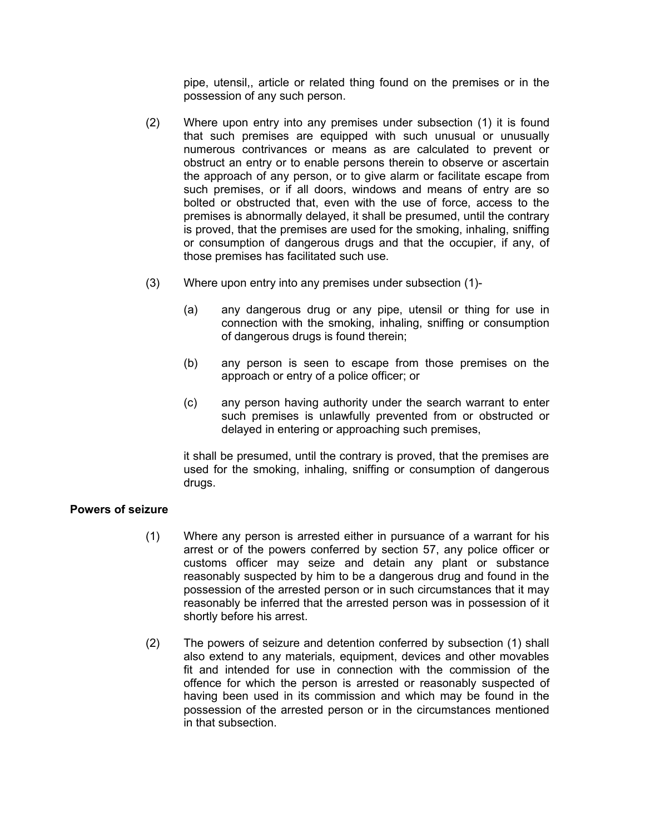pipe, utensil,, article or related thing found on the premises or in the possession of any such person.

- (2) Where upon entry into any premises under subsection (1) it is found that such premises are equipped with such unusual or unusually numerous contrivances or means as are calculated to prevent or obstruct an entry or to enable persons therein to observe or ascertain the approach of any person, or to give alarm or facilitate escape from such premises, or if all doors, windows and means of entry are so bolted or obstructed that, even with the use of force, access to the premises is abnormally delayed, it shall be presumed, until the contrary is proved, that the premises are used for the smoking, inhaling, sniffing or consumption of dangerous drugs and that the occupier, if any, of those premises has facilitated such use.
- (3) Where upon entry into any premises under subsection (1)-
	- (a) any dangerous drug or any pipe, utensil or thing for use in connection with the smoking, inhaling, sniffing or consumption of dangerous drugs is found therein;
	- (b) any person is seen to escape from those premises on the approach or entry of a police officer; or
	- (c) any person having authority under the search warrant to enter such premises is unlawfully prevented from or obstructed or delayed in entering or approaching such premises,

it shall be presumed, until the contrary is proved, that the premises are used for the smoking, inhaling, sniffing or consumption of dangerous drugs.

### <span id="page-32-0"></span>**Powers of seizure**

- (1) Where any person is arrested either in pursuance of a warrant for his arrest or of the powers conferred by section 57, any police officer or customs officer may seize and detain any plant or substance reasonably suspected by him to be a dangerous drug and found in the possession of the arrested person or in such circumstances that it may reasonably be inferred that the arrested person was in possession of it shortly before his arrest.
- (2) The powers of seizure and detention conferred by subsection (1) shall also extend to any materials, equipment, devices and other movables fit and intended for use in connection with the commission of the offence for which the person is arrested or reasonably suspected of having been used in its commission and which may be found in the possession of the arrested person or in the circumstances mentioned in that subsection.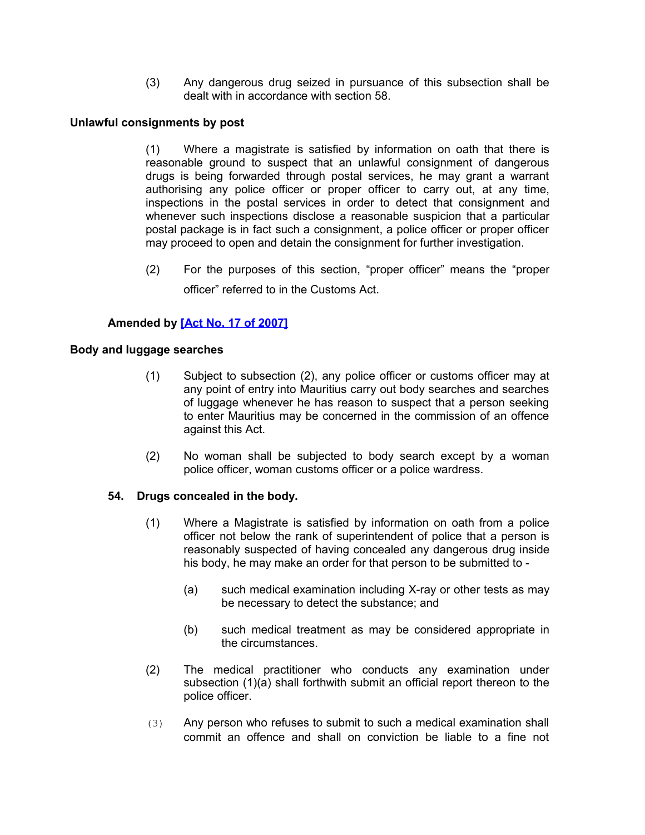(3) Any dangerous drug seized in pursuance of this subsection shall be dealt with in accordance with section 58.

### <span id="page-33-2"></span>**Unlawful consignments by post**

(1) Where a magistrate is satisfied by information on oath that there is reasonable ground to suspect that an unlawful consignment of dangerous drugs is being forwarded through postal services, he may grant a warrant authorising any police officer or proper officer to carry out, at any time, inspections in the postal services in order to detect that consignment and whenever such inspections disclose a reasonable suspicion that a particular postal package is in fact such a consignment, a police officer or proper officer may proceed to open and detain the consignment for further investigation.

(2) For the purposes of this section, "proper officer" means the "proper officer" referred to in the Customs Act.

### **Amended by [\[Act No. 17 of 2007\]](http://www1.gov.mu/scourt/doc/showDoc.do?dk=Act%20No.%2017%20of%202007&dt=A)**

#### <span id="page-33-1"></span>**Body and luggage searches**

- (1) Subject to subsection (2), any police officer or customs officer may at any point of entry into Mauritius carry out body searches and searches of luggage whenever he has reason to suspect that a person seeking to enter Mauritius may be concerned in the commission of an offence against this Act.
- (2) No woman shall be subjected to body search except by a woman police officer, woman customs officer or a police wardress.

### **54. Drugs concealed in the body.**

- <span id="page-33-0"></span>(1) Where a Magistrate is satisfied by information on oath from a police officer not below the rank of superintendent of police that a person is reasonably suspected of having concealed any dangerous drug inside his body, he may make an order for that person to be submitted to -
	- (a) such medical examination including X-ray or other tests as may be necessary to detect the substance; and
	- (b) such medical treatment as may be considered appropriate in the circumstances.
- (2) The medical practitioner who conducts any examination under subsection (1)(a) shall forthwith submit an official report thereon to the police officer.
- (3) Any person who refuses to submit to such a medical examination shall commit an offence and shall on conviction be liable to a fine not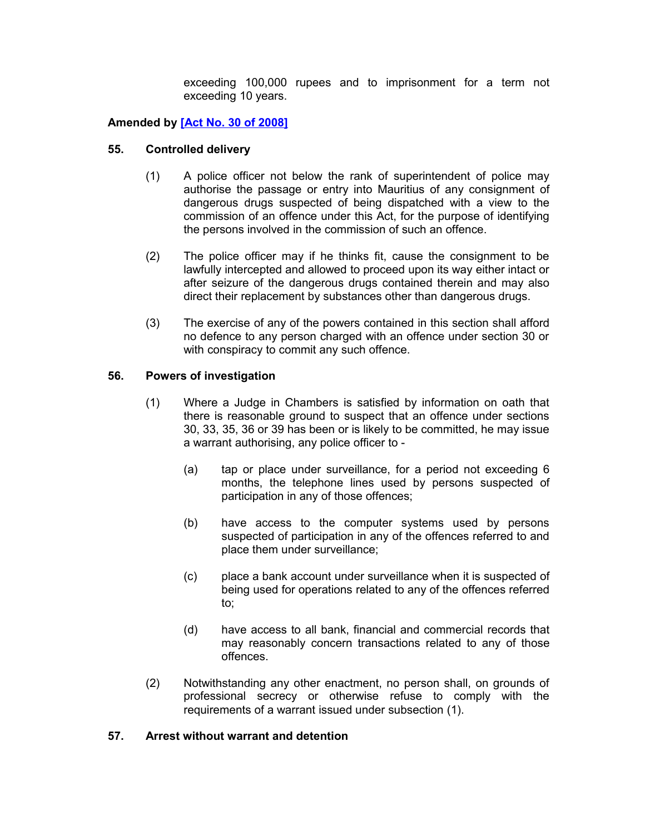exceeding 100,000 rupees and to imprisonment for a term not exceeding 10 years.

### **Amended by [\[Act No. 30 of 2008\]](http://www1.gov.mu/scourt/doc/showDoc.do?dk=Act%20No.%2030%20of%202008&dt=A)**

#### **55. Controlled delivery**

- <span id="page-34-2"></span>(1) A police officer not below the rank of superintendent of police may authorise the passage or entry into Mauritius of any consignment of dangerous drugs suspected of being dispatched with a view to the commission of an offence under this Act, for the purpose of identifying the persons involved in the commission of such an offence.
- (2) The police officer may if he thinks fit, cause the consignment to be lawfully intercepted and allowed to proceed upon its way either intact or after seizure of the dangerous drugs contained therein and may also direct their replacement by substances other than dangerous drugs.
- (3) The exercise of any of the powers contained in this section shall afford no defence to any person charged with an offence under section 30 or with conspiracy to commit any such offence.

### **56. Powers of investigation**

- <span id="page-34-1"></span>(1) Where a Judge in Chambers is satisfied by information on oath that there is reasonable ground to suspect that an offence under sections 30, 33, 35, 36 or 39 has been or is likely to be committed, he may issue a warrant authorising, any police officer to -
	- (a) tap or place under surveillance, for a period not exceeding 6 months, the telephone lines used by persons suspected of participation in any of those offences;
	- (b) have access to the computer systems used by persons suspected of participation in any of the offences referred to and place them under surveillance;
	- (c) place a bank account under surveillance when it is suspected of being used for operations related to any of the offences referred to;
	- (d) have access to all bank, financial and commercial records that may reasonably concern transactions related to any of those offences.
- (2) Notwithstanding any other enactment, no person shall, on grounds of professional secrecy or otherwise refuse to comply with the requirements of a warrant issued under subsection (1).

#### <span id="page-34-0"></span>**57. Arrest without warrant and detention**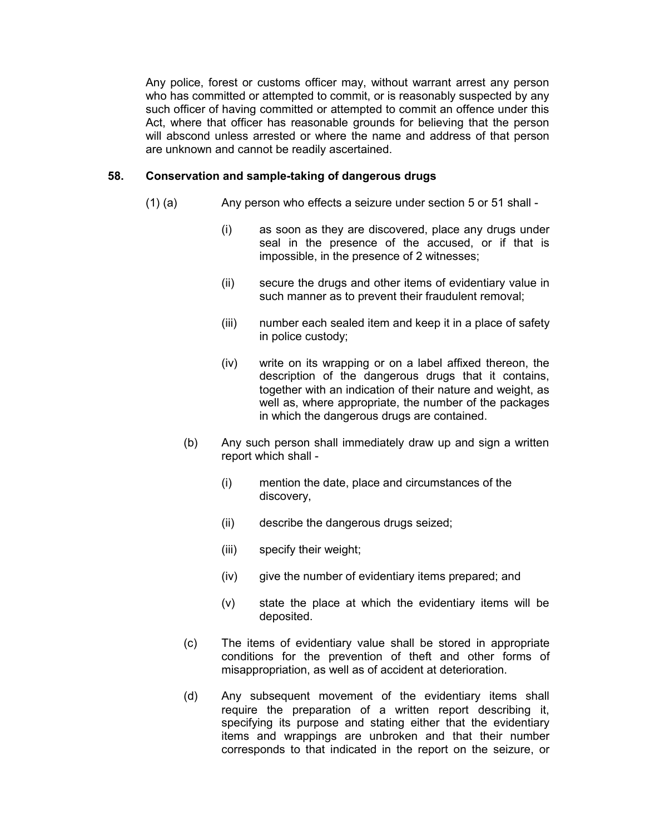Any police, forest or customs officer may, without warrant arrest any person who has committed or attempted to commit, or is reasonably suspected by any such officer of having committed or attempted to commit an offence under this Act, where that officer has reasonable grounds for believing that the person will abscond unless arrested or where the name and address of that person are unknown and cannot be readily ascertained.

#### **58. Conservation and sample-taking of dangerous drugs**

- <span id="page-35-0"></span>(1) (a) Any person who effects a seizure under section 5 or 51 shall -
	- (i) as soon as they are discovered, place any drugs under seal in the presence of the accused, or if that is impossible, in the presence of 2 witnesses;
	- (ii) secure the drugs and other items of evidentiary value in such manner as to prevent their fraudulent removal;
	- (iii) number each sealed item and keep it in a place of safety in police custody;
	- (iv) write on its wrapping or on a label affixed thereon, the description of the dangerous drugs that it contains, together with an indication of their nature and weight, as well as, where appropriate, the number of the packages in which the dangerous drugs are contained.
	- (b) Any such person shall immediately draw up and sign a written report which shall -
		- (i) mention the date, place and circumstances of the discovery,
		- (ii) describe the dangerous drugs seized;
		- (iii) specify their weight;
		- (iv) give the number of evidentiary items prepared; and
		- (v) state the place at which the evidentiary items will be deposited.
	- (c) The items of evidentiary value shall be stored in appropriate conditions for the prevention of theft and other forms of misappropriation, as well as of accident at deterioration.
	- (d) Any subsequent movement of the evidentiary items shall require the preparation of a written report describing it, specifying its purpose and stating either that the evidentiary items and wrappings are unbroken and that their number corresponds to that indicated in the report on the seizure, or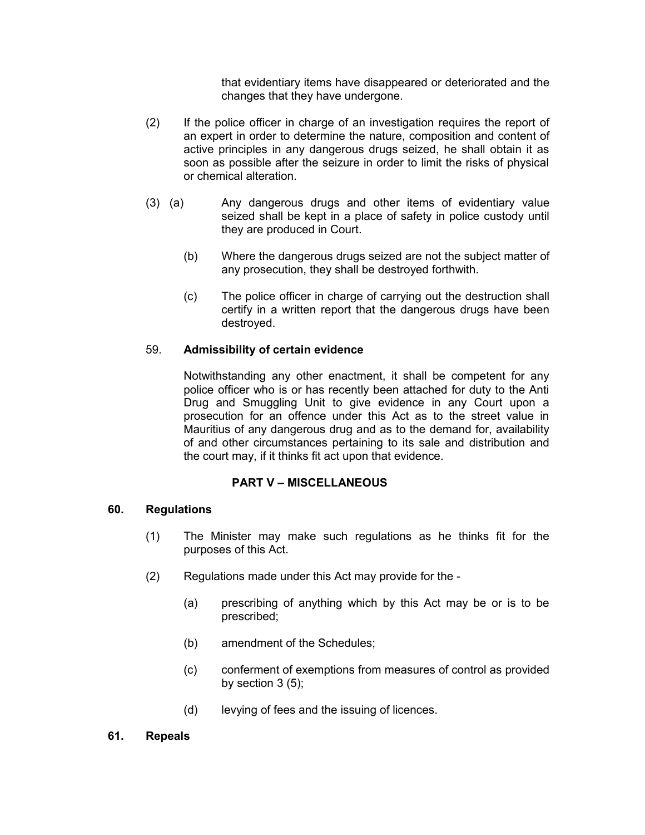that evidentiary items have disappeared or deteriorated and the changes that they have undergone.

- (2) If the police officer in charge of an investigation requires the report of an expert in order to determine the nature, composition and content of active principles in any dangerous drugs seized, he shall obtain it as soon as possible after the seizure in order to limit the risks of physical or chemical alteration.
- (3) (a) Any dangerous drugs and other items of evidentiary value seized shall be kept in a place of safety in police custody until they are produced in Court.
	- (b) Where the dangerous drugs seized are not the subject matter of any prosecution, they shall be destroyed forthwith.
	- (c) The police officer in charge of carrying out the destruction shall certify in a written report that the dangerous drugs have been destroyed.

### 59. **Admissibility of certain evidence**

<span id="page-36-2"></span>Notwithstanding any other enactment, it shall be competent for any police officer who is or has recently been attached for duty to the Anti Drug and Smuggling Unit to give evidence in any Court upon a prosecution for an offence under this Act as to the street value in Mauritius of any dangerous drug and as to the demand for, availability of and other circumstances pertaining to its sale and distribution and the court may, if it thinks fit act upon that evidence.

### **PART V – MISCELLANEOUS**

#### **60. Regulations**

- <span id="page-36-1"></span>(1) The Minister may make such regulations as he thinks fit for the purposes of this Act.
- (2) Regulations made under this Act may provide for the
	- (a) prescribing of anything which by this Act may be or is to be prescribed;
	- (b) amendment of the Schedules;
	- (c) conferment of exemptions from measures of control as provided by section  $3(5)$ ;
	- (d) levying of fees and the issuing of licences.

#### <span id="page-36-0"></span>**61. Repeals**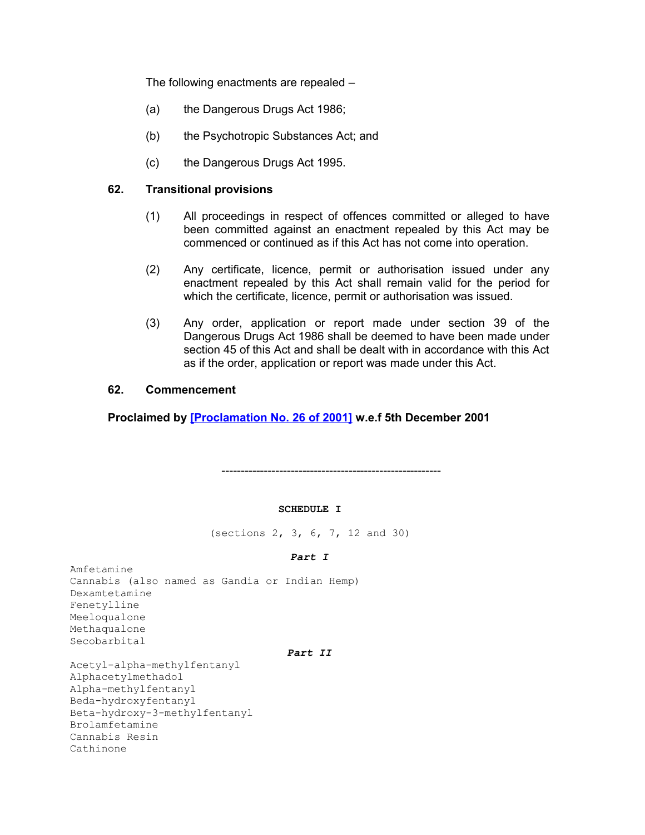The following enactments are repealed –

- (a) the Dangerous Drugs Act 1986;
- (b) the Psychotropic Substances Act; and
- <span id="page-37-1"></span>(c) the Dangerous Drugs Act 1995.

#### **62. Transitional provisions**

- (1) All proceedings in respect of offences committed or alleged to have been committed against an enactment repealed by this Act may be commenced or continued as if this Act has not come into operation.
- (2) Any certificate, licence, permit or authorisation issued under any enactment repealed by this Act shall remain valid for the period for which the certificate, licence, permit or authorisation was issued.
- (3) Any order, application or report made under section 39 of the Dangerous Drugs Act 1986 shall be deemed to have been made under section 45 of this Act and shall be dealt with in accordance with this Act as if the order, application or report was made under this Act.

### <span id="page-37-0"></span>**62. Commencement**

**Proclaimed by [\[Proclamation No. 26 of 2001\]](http://www1.gov.mu/scourt/doc/showDoc.do?dk=Proclamation%20No.%2026%20of%202001&dt=A) w.e.f 5th December 2001**

---------------------------------------------------------

#### **SCHEDULE I**

(sections 2, 3, 6, 7, 12 and 30)

#### *Part I*

Amfetamine Cannabis (also named as Gandia or Indian Hemp) Dexamtetamine Fenetylline Meeloqualone Methaqualone Secobarbital

#### *Part II*

Acetyl-alpha-methylfentanyl Alphacetylmethadol Alpha-methylfentanyl Beda-hydroxyfentanyl Beta-hydroxy-3-methylfentanyl Brolamfetamine Cannabis Resin Cathinone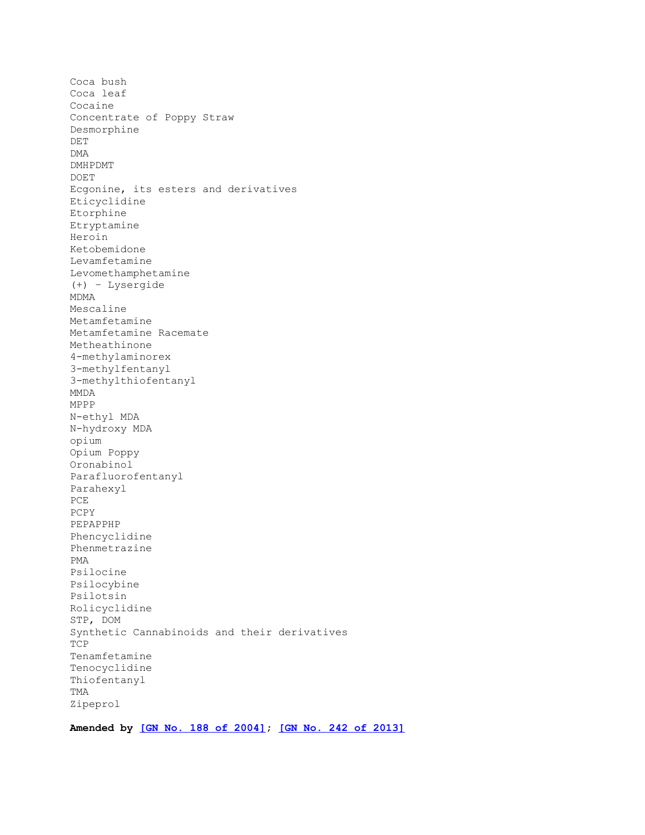Coca bush Coca leaf Cocaine Concentrate of Poppy Straw Desmorphine DET DMA DMHPDMT DOET Ecgonine, its esters and derivatives Eticyclidine Etorphine Etryptamine Heroin Ketobemidone Levamfetamine Levomethamphetamine (+) – Lysergide MDMA Mescaline Metamfetamine Metamfetamine Racemate Metheathinone 4-methylaminorex 3-methylfentanyl 3-methylthiofentanyl MMDA MPPP N-ethyl MDA N-hydroxy MDA opium Opium Poppy Oronabinol Parafluorofentanyl Parahexyl PCE PCPY PEPAPPHP Phencyclidine Phenmetrazine PMA Psilocine Psilocybine Psilotsin Rolicyclidine STP, DOM Synthetic Cannabinoids and their derivatives TCP Tenamfetamine Tenocyclidine Thiofentanyl TMA Zipeprol

**Amended by [\[GN No. 188 of 2004\];](http://www1.gov.mu/scourt/doc/showDoc.do?dk=GN%20No.%20188%20of%202004&dt=A) [\[GN No. 242 of 2013\]](http://www1.gov.mu/scourt/doc/showDoc.do?dk=GN%20No.%20242%20of%202013&dt=A)**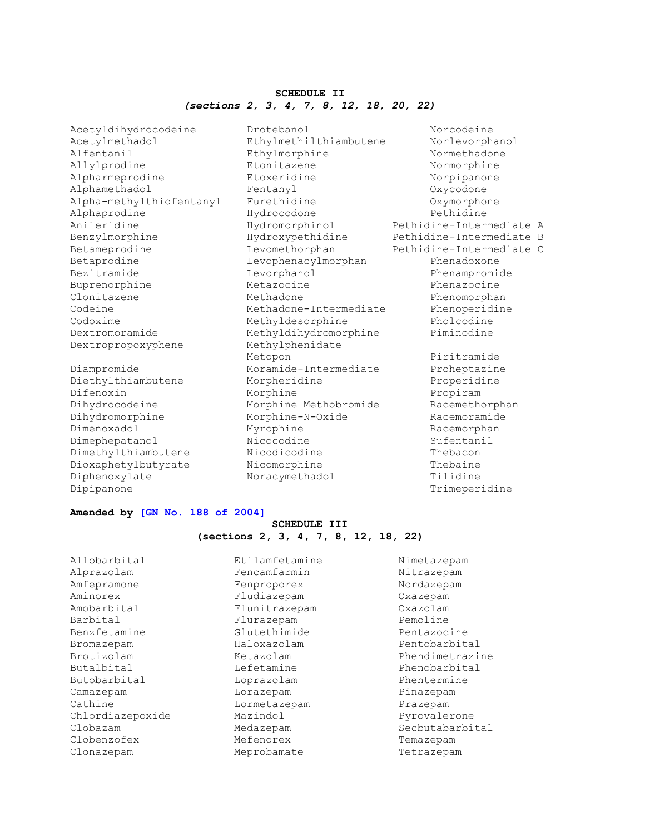#### **SCHEDULE II** *(sections 2, 3, 4, 7, 8, 12, 18, 20, 22)*

Acetyldihydrocodeine Drotebanol Norcodeine Acetylmethadol Ethylmethilthiambutene Norlevorphanol Alfentanil Ethylmorphine Normethadone Allylprodine Etonitazene Normorphine Alpharmeprodine Etoxeridine Norpipanone Alphamethadol Fentanyl Oxycodone Alpha-methylthiofentanyl Furethidine Oxymorphone Alphaprodine Hydrocodone Pethidine Anileridine Hydromorphinol Pethidine-Intermediate A Benzylmorphine Hydroxypethidine Pethidine-Intermediate B Betameprodine Levomethorphan Pethidine-Intermediate C Betaprodine Levophenacylmorphan Phenadoxone Bezitramide Levorphanol Phenampromide Buprenorphine Metazocine Metazocine Phenazocine Clonitazene **Methadone** Methadone Phenomorphan Codeine Methadone-Intermediate Phenoperidine Codoxime Methyldesorphine Pholcodine Dextromoramide Methyldihydromorphine Piminodine Dextropropoxyphene Methylphenidate

Dipipanone Trimeperidine

Metopon and Piritramide Diampromide Moramide-Intermediate Proheptazine Diethylthiambutene Morpheridine Properidine Difenoxin Morphine Propiram Dihydrocodeine Morphine Methobromide Racemethorphan Dihydromorphine Morphine-N-Oxide Racemoramide Dimenoxadol Myrophine Racemorphan Dimephepatanol Nicocodine Sufentanil Dimethylthiambutene Nicodicodine Thebacon Dioxaphetylbutyrate Nicomorphine Thebaine Diphenoxylate Noracymethadol Tilidine

#### **Amended by [\[GN No. 188 of 2004\]](http://www1.gov.mu/scourt/doc/showDoc.do?dk=GN%20No.%20188%20of%202004&dt=A)**

#### **SCHEDULE III (sections 2, 3, 4, 7, 8, 12, 18, 22)**

| Allobarbital     | Etilamfetamine | Nimetazepam     |
|------------------|----------------|-----------------|
| Alprazolam       | Fencamfarmin   | Nitrazepam      |
| Amfepramone      | Fenproporex    | Nordazepam      |
| Aminorex         | Fludiazepam    | Oxazepam        |
| Amobarbital      | Flunitrazepam  | Oxazolam        |
| Barbital         | Flurazepam     | Pemoline        |
| Benzfetamine     | Glutethimide   | Pentazocine     |
| Bromazepam       | Haloxazolam    | Pentobarbital   |
| Brotizolam       | Ketazolam      | Phendimetrazine |
| Butalbital       | Lefetamine     | Phenobarbital   |
| Butobarbital     | Loprazolam     | Phentermine     |
| Camazepam        | Lorazepam      | Pinazepam       |
| Cathine          | Lormetazepam   | Prazepam        |
| Chlordiazepoxide | Mazindol       | Pyrovalerone    |
| Clobazam         | Medazepam      | Secbutabarbital |
| Clobenzofex      | Mefenorex      | Temazepam       |
| Clonazepam       | Meprobamate    | Tetrazepam      |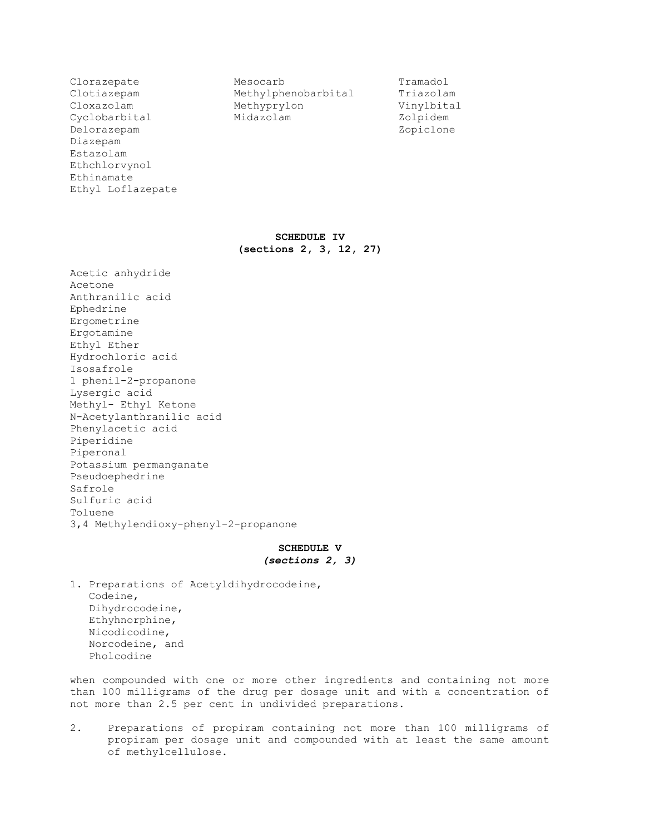Delorazepam Zopiclone Diazepam Estazolam Ethchlorvynol Ethinamate Ethyl Loflazepate

Clorazepate Mesocarb Tramadol<br>Clotiazepam Methylphenobarbital Triazolam Clotiazepam Methylphenobarbital Cloxazolam Methyprylon Vinylbital Cyclobarbital Midazolam Zolpidem

**SCHEDULE IV (sections 2, 3, 12, 27)**

Acetic anhydride Acetone Anthranilic acid Ephedrine Ergometrine Ergotamine Ethyl Ether Hydrochloric acid Isosafrole 1 phenil-2-propanone Lysergic acid Methyl- Ethyl Ketone N-Acetylanthranilic acid Phenylacetic acid Piperidine Piperonal Potassium permanganate Pseudoephedrine Safrole Sulfuric acid Toluene 3,4 Methylendioxy-phenyl-2-propanone

#### **SCHEDULE V** *(sections 2, 3)*

1. Preparations of Acetyldihydrocodeine, Codeine, Dihydrocodeine, Ethyhnorphine, Nicodicodine, Norcodeine, and Pholcodine

when compounded with one or more other ingredients and containing not more than 100 milligrams of the drug per dosage unit and with a concentration of not more than 2.5 per cent in undivided preparations.

2. Preparations of propiram containing not more than 100 milligrams of propiram per dosage unit and compounded with at least the same amount of methylcellulose.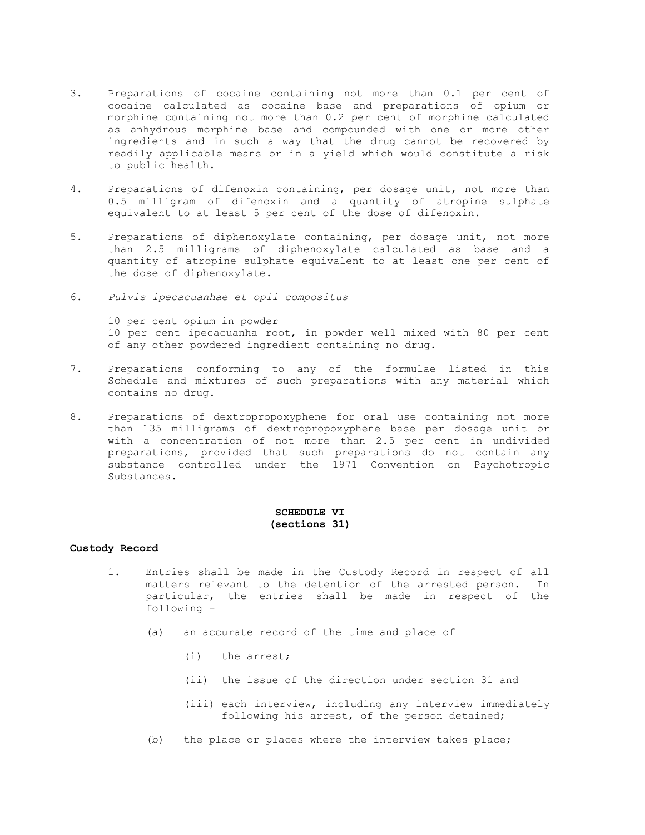- 3. Preparations of cocaine containing not more than 0.1 per cent of cocaine calculated as cocaine base and preparations of opium or morphine containing not more than 0.2 per cent of morphine calculated as anhydrous morphine base and compounded with one or more other ingredients and in such a way that the drug cannot be recovered by readily applicable means or in a yield which would constitute a risk to public health.
- 4. Preparations of difenoxin containing, per dosage unit, not more than 0.5 milligram of difenoxin and a quantity of atropine sulphate equivalent to at least 5 per cent of the dose of difenoxin.
- 5. Preparations of diphenoxylate containing, per dosage unit, not more than 2.5 milligrams of diphenoxylate calculated as base and a quantity of atropine sulphate equivalent to at least one per cent of the dose of diphenoxylate.
- 6. *Pulvis ipecacuanhae et opii compositus*

10 per cent opium in powder 10 per cent ipecacuanha root, in powder well mixed with 80 per cent of any other powdered ingredient containing no drug.

- 7. Preparations conforming to any of the formulae listed in this Schedule and mixtures of such preparations with any material which contains no drug.
- 8. Preparations of dextropropoxyphene for oral use containing not more than 135 milligrams of dextropropoxyphene base per dosage unit or with a concentration of not more than 2.5 per cent in undivided preparations, provided that such preparations do not contain any substance controlled under the 1971 Convention on Psychotropic Substances.

#### **SCHEDULE VI (sections 31)**

#### **Custody Record**

- 1. Entries shall be made in the Custody Record in respect of all matters relevant to the detention of the arrested person. In particular, the entries shall be made in respect of the following -
	- (a) an accurate record of the time and place of
		- (i) the arrest;
		- (ii) the issue of the direction under section 31 and
		- (iii) each interview, including any interview immediately following his arrest, of the person detained;
	- (b) the place or places where the interview takes place;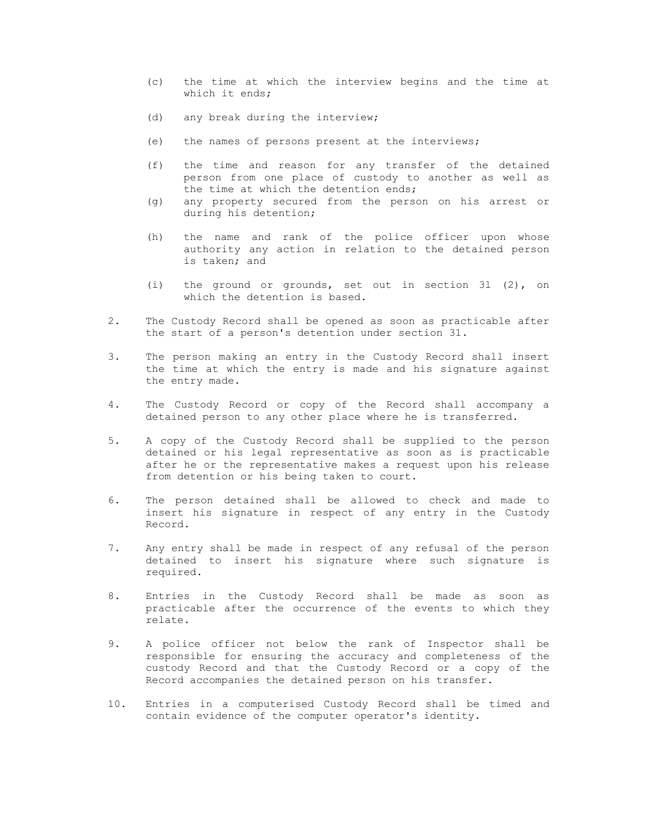- (c) the time at which the interview begins and the time at which it ends;
- (d) any break during the interview;
- (e) the names of persons present at the interviews;
- (f) the time and reason for any transfer of the detained person from one place of custody to another as well as the time at which the detention ends;
- (g) any property secured from the person on his arrest or during his detention;
- (h) the name and rank of the police officer upon whose authority any action in relation to the detained person is taken; and
- (i) the ground or grounds, set out in section 3l (2), on which the detention is based.
- 2. The Custody Record shall be opened as soon as practicable after the start of a person's detention under section 31.
- 3. The person making an entry in the Custody Record shall insert the time at which the entry is made and his signature against the entry made.
- 4. The Custody Record or copy of the Record shall accompany a detained person to any other place where he is transferred.
- 5. A copy of the Custody Record shall be supplied to the person detained or his legal representative as soon as is practicable after he or the representative makes a request upon his release from detention or his being taken to court.
- 6. The person detained shall be allowed to check and made to insert his signature in respect of any entry in the Custody Record.
- 7. Any entry shall be made in respect of any refusal of the person detained to insert his signature where such signature is required.
- 8. Entries in the Custody Record shall be made as soon as practicable after the occurrence of the events to which they relate.
- 9. A police officer not below the rank of Inspector shall be responsible for ensuring the accuracy and completeness of the custody Record and that the Custody Record or a copy of the Record accompanies the detained person on his transfer.
- 10. Entries in a computerised Custody Record shall be timed and contain evidence of the computer operator's identity.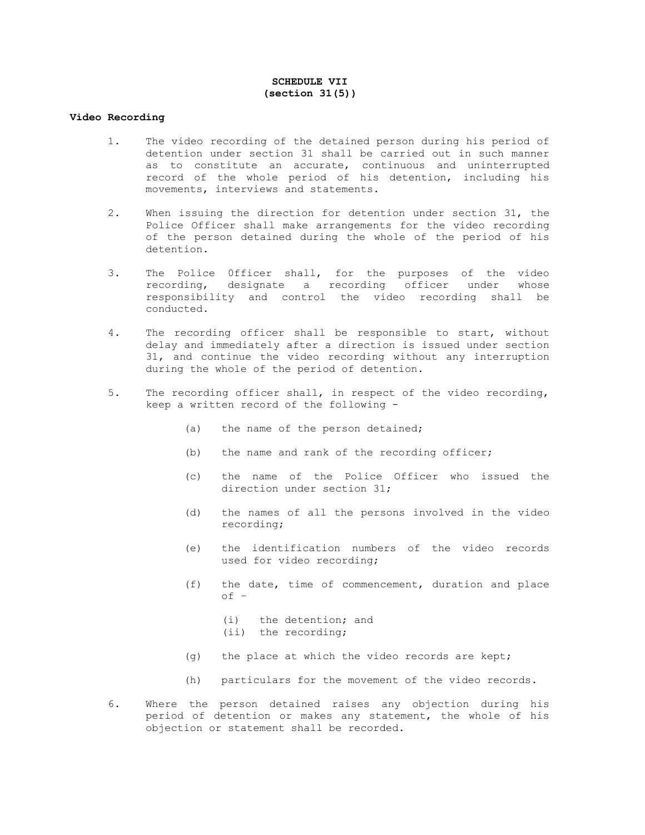#### **SCHEDULE VII (section 31(5))**

#### **Video Recording**

- 1. The video recording of the detained person during his period of detention under section 31 shall be carried out in such manner as to constitute an accurate, continuous and uninterrupted record of the whole period of his detention, including his movements, interviews and statements.
- 2. When issuing the direction for detention under section 31, the Police Officer shall make arrangements for the video recording of the person detained during the whole of the period of his detention.
- 3. The Police 0fficer shall, for the purposes of the video recording, designate a recording officer under whose responsibility and control the video recording shall be conducted.
- 4. The recording officer shall be responsible to start, without delay and immediately after a direction is issued under section 31, and continue the video recording without any interruption during the whole of the period of detention.
- 5. The recording officer shall, in respect of the video recording, keep a written record of the following -
	- (a) the name of the person detained;
	- (b) the name and rank of the recording officer;
	- (c) the name of the Police Officer who issued the direction under section 31;
	- (d) the names of all the persons involved in the video recording;
	- (e) the identification numbers of the video records used for video recording;
	- (f) the date, time of commencement, duration and place of –

(i) the detention; and (ii) the recording;

- (g) the place at which the video records are kept;
- (h) particulars for the movement of the video records.
- 6. Where the person detained raises any objection during his period of detention or makes any statement, the whole of his objection or statement shall be recorded.